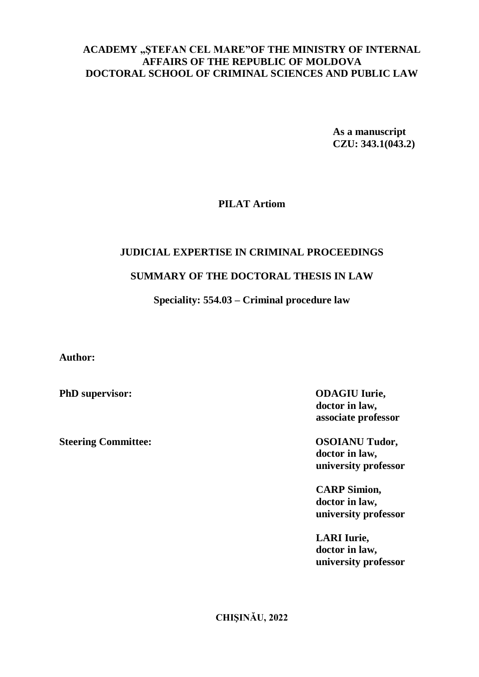# **ACADEMY "ŞTEFAN CEL MARE"OF THE MINISTRY OF INTERNAL AFFAIRS OF THE REPUBLIC OF MOLDOVA DOCTORAL SCHOOL OF CRIMINAL SCIENCES AND PUBLIC LAW**

**As a manuscript CZU: 343.1(043.2)**

# **PILAT Artiom**

# **JUDICIAL EXPERTISE IN CRIMINAL PROCEEDINGS**

# **SUMMARY OF THE DOCTORAL THESIS IN LAW**

# **Speciality: 554.03 – Criminal procedure law**

**Author:**

**Steering Committee: OSOIANU Tudor,**

**PhD supervisor: ODAGIU Iurie, doctor in law, associate professor**

> **doctor in law, university professor**

**CARP Simion, doctor in law, university professor**

**LARI Iurie, doctor in law, university professor**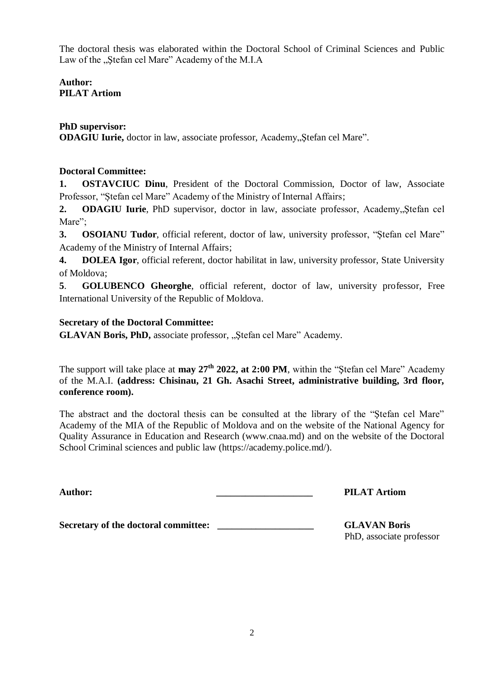The doctoral thesis was elaborated within the Doctoral School of Criminal Sciences and Public Law of the "Stefan cel Mare" Academy of the M.I.A

**Author: PILAT Artiom**

## **PhD supervisor:**

**ODAGIU Iurie,** doctor in law, associate professor, Academy, Stefan cel Mare".

## **Doctoral Committee:**

**1. OSTAVCIUC Dinu**, President of the Doctoral Commission, Doctor of law, Associate Professor, "Ștefan cel Mare" Academy of the Ministry of Internal Affairs;

**2. ODAGIU Iurie**, PhD supervisor, doctor in law, associate professor, Academy, Stefan cel Mare":

**3. OSOIANU Tudor**, official referent, doctor of law, university professor, "Ștefan cel Mare" Academy of the Ministry of Internal Affairs;

**4. DOLEA Igor**, official referent, doctor habilitat in law, university professor, State University of Moldova;

**5**. **GOLUBENCO Gheorghe**, official referent, doctor of law, university professor, Free International University of the Republic of Moldova.

## **Secretary of the Doctoral Committee:**

**GLAVAN Boris, PhD,** associate professor, "Stefan cel Mare" Academy.

The support will take place at **may 27th 2022, at 2:00 PM**, within the "Ştefan cel Mare" Academy of the M.A.I. **(address: Chisinau, 21 Gh. Asachi Street, administrative building, 3rd floor, conference room).**

The abstract and the doctoral thesis can be consulted at the library of the "Ştefan cel Mare" Academy of the MIA of the Republic of Moldova and on the website of the National Agency for Quality Assurance in Education and Research (www.cnaa.md) and on the website of the Doctoral School Criminal sciences and public law (https://academy.police.md/).

**Author: \_\_\_\_\_\_\_\_\_\_\_\_\_\_\_\_\_\_\_\_ PILAT Artiom**

**Secretary of the doctoral committee: \_\_\_\_\_\_\_\_\_\_\_\_\_\_\_\_\_\_\_\_ GLAVAN Boris**

PhD, associate professor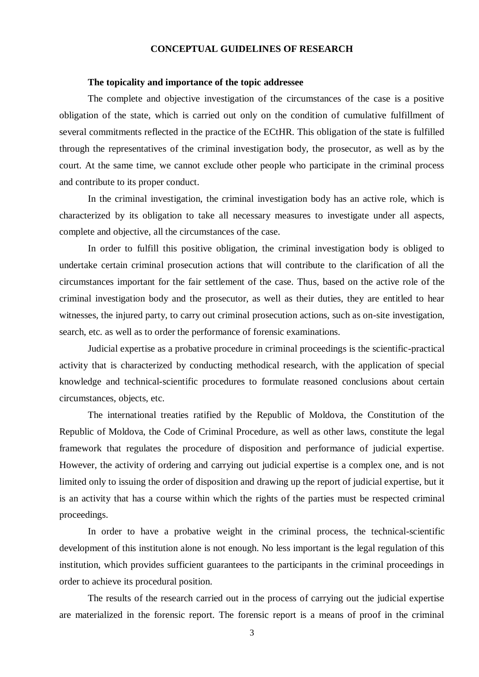### **CONCEPTUAL GUIDELINES OF RESEARCH**

#### **The topicality and importance of the topic addressee**

The complete and objective investigation of the circumstances of the case is a positive obligation of the state, which is carried out only on the condition of cumulative fulfillment of several commitments reflected in the practice of the ECtHR. This obligation of the state is fulfilled through the representatives of the criminal investigation body, the prosecutor, as well as by the court. At the same time, we cannot exclude other people who participate in the criminal process and contribute to its proper conduct.

In the criminal investigation, the criminal investigation body has an active role, which is characterized by its obligation to take all necessary measures to investigate under all aspects, complete and objective, all the circumstances of the case.

In order to fulfill this positive obligation, the criminal investigation body is obliged to undertake certain criminal prosecution actions that will contribute to the clarification of all the circumstances important for the fair settlement of the case. Thus, based on the active role of the criminal investigation body and the prosecutor, as well as their duties, they are entitled to hear witnesses, the injured party, to carry out criminal prosecution actions, such as on-site investigation, search, etc. as well as to order the performance of forensic examinations.

Judicial expertise as a probative procedure in criminal proceedings is the scientific-practical activity that is characterized by conducting methodical research, with the application of special knowledge and technical-scientific procedures to formulate reasoned conclusions about certain circumstances, objects, etc.

The international treaties ratified by the Republic of Moldova, the Constitution of the Republic of Moldova, the Code of Criminal Procedure, as well as other laws, constitute the legal framework that regulates the procedure of disposition and performance of judicial expertise. However, the activity of ordering and carrying out judicial expertise is a complex one, and is not limited only to issuing the order of disposition and drawing up the report of judicial expertise, but it is an activity that has a course within which the rights of the parties must be respected criminal proceedings.

In order to have a probative weight in the criminal process, the technical-scientific development of this institution alone is not enough. No less important is the legal regulation of this institution, which provides sufficient guarantees to the participants in the criminal proceedings in order to achieve its procedural position.

The results of the research carried out in the process of carrying out the judicial expertise are materialized in the forensic report. The forensic report is a means of proof in the criminal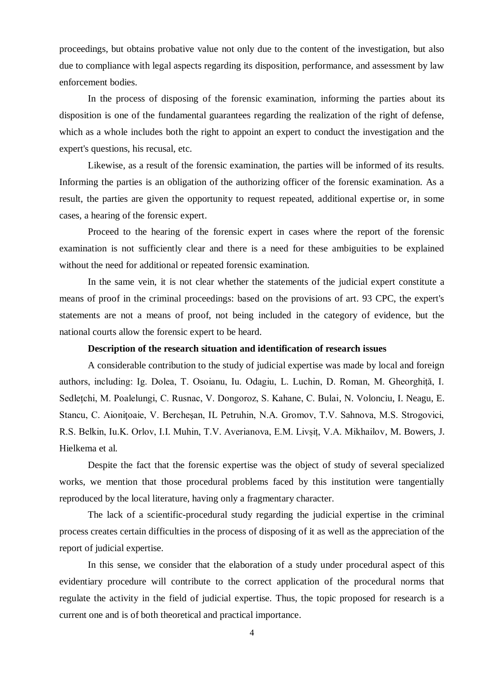proceedings, but obtains probative value not only due to the content of the investigation, but also due to compliance with legal aspects regarding its disposition, performance, and assessment by law enforcement bodies.

In the process of disposing of the forensic examination, informing the parties about its disposition is one of the fundamental guarantees regarding the realization of the right of defense, which as a whole includes both the right to appoint an expert to conduct the investigation and the expert's questions, his recusal, etc.

Likewise, as a result of the forensic examination, the parties will be informed of its results. Informing the parties is an obligation of the authorizing officer of the forensic examination. As a result, the parties are given the opportunity to request repeated, additional expertise or, in some cases, a hearing of the forensic expert.

Proceed to the hearing of the forensic expert in cases where the report of the forensic examination is not sufficiently clear and there is a need for these ambiguities to be explained without the need for additional or repeated forensic examination.

In the same vein, it is not clear whether the statements of the judicial expert constitute a means of proof in the criminal proceedings: based on the provisions of art. 93 CPC, the expert's statements are not a means of proof, not being included in the category of evidence, but the national courts allow the forensic expert to be heard.

### **Description of the research situation and identification of research issues**

A considerable contribution to the study of judicial expertise was made by local and foreign authors, including: Ig. Dolea, T. Osoianu, Iu. Odagiu, L. Luchin, D. Roman, M. Gheorghiță, I. Sedlețchi, M. Poalelungi, C. Rusnac, V. Dongoroz, S. Kahane, C. Bulai, N. Volonciu, I. Neagu, E. Stancu, C. Aionitoaie, V. Berchesan, IL Petruhin, N.A. Gromov, T.V. Sahnova, M.S. Strogovici, R.S. Belkin, Iu.K. Orlov, I.I. Muhin, T.V. Averianova, E.M. Livșiț, V.A. Mikhailov, M. Bowers, J. Hielkema et al.

Despite the fact that the forensic expertise was the object of study of several specialized works, we mention that those procedural problems faced by this institution were tangentially reproduced by the local literature, having only a fragmentary character.

The lack of a scientific-procedural study regarding the judicial expertise in the criminal process creates certain difficulties in the process of disposing of it as well as the appreciation of the report of judicial expertise.

In this sense, we consider that the elaboration of a study under procedural aspect of this evidentiary procedure will contribute to the correct application of the procedural norms that regulate the activity in the field of judicial expertise. Thus, the topic proposed for research is a current one and is of both theoretical and practical importance.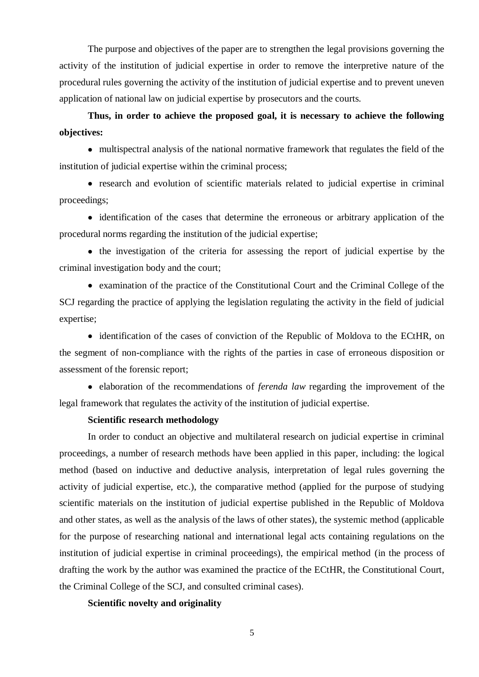The purpose and objectives of the paper are to strengthen the legal provisions governing the activity of the institution of judicial expertise in order to remove the interpretive nature of the procedural rules governing the activity of the institution of judicial expertise and to prevent uneven application of national law on judicial expertise by prosecutors and the courts.

# **Thus, in order to achieve the proposed goal, it is necessary to achieve the following objectives:**

 multispectral analysis of the national normative framework that regulates the field of the institution of judicial expertise within the criminal process;

 research and evolution of scientific materials related to judicial expertise in criminal proceedings;

• identification of the cases that determine the erroneous or arbitrary application of the procedural norms regarding the institution of the judicial expertise;

• the investigation of the criteria for assessing the report of judicial expertise by the criminal investigation body and the court;

 examination of the practice of the Constitutional Court and the Criminal College of the SCJ regarding the practice of applying the legislation regulating the activity in the field of judicial expertise;

• identification of the cases of conviction of the Republic of Moldova to the ECtHR, on the segment of non-compliance with the rights of the parties in case of erroneous disposition or assessment of the forensic report;

 elaboration of the recommendations of *ferenda law* regarding the improvement of the legal framework that regulates the activity of the institution of judicial expertise.

#### **Scientific research methodology**

In order to conduct an objective and multilateral research on judicial expertise in criminal proceedings, a number of research methods have been applied in this paper, including: the logical method (based on inductive and deductive analysis, interpretation of legal rules governing the activity of judicial expertise, etc.), the comparative method (applied for the purpose of studying scientific materials on the institution of judicial expertise published in the Republic of Moldova and other states, as well as the analysis of the laws of other states), the systemic method (applicable for the purpose of researching national and international legal acts containing regulations on the institution of judicial expertise in criminal proceedings), the empirical method (in the process of drafting the work by the author was examined the practice of the ECtHR, the Constitutional Court, the Criminal College of the SCJ, and consulted criminal cases).

**Scientific novelty and originality**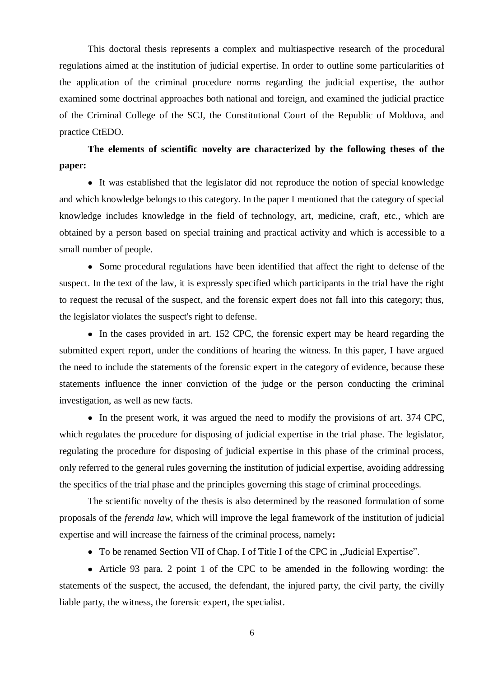This doctoral thesis represents a complex and multiaspective research of the procedural regulations aimed at the institution of judicial expertise. In order to outline some particularities of the application of the criminal procedure norms regarding the judicial expertise, the author examined some doctrinal approaches both national and foreign, and examined the judicial practice of the Criminal College of the SCJ, the Constitutional Court of the Republic of Moldova, and practice CtEDO.

**The elements of scientific novelty are characterized by the following theses of the paper:**

 It was established that the legislator did not reproduce the notion of special knowledge and which knowledge belongs to this category. In the paper I mentioned that the category of special knowledge includes knowledge in the field of technology, art, medicine, craft, etc., which are obtained by a person based on special training and practical activity and which is accessible to a small number of people.

 Some procedural regulations have been identified that affect the right to defense of the suspect. In the text of the law, it is expressly specified which participants in the trial have the right to request the recusal of the suspect, and the forensic expert does not fall into this category; thus, the legislator violates the suspect's right to defense.

• In the cases provided in art. 152 CPC, the forensic expert may be heard regarding the submitted expert report, under the conditions of hearing the witness. In this paper, I have argued the need to include the statements of the forensic expert in the category of evidence, because these statements influence the inner conviction of the judge or the person conducting the criminal investigation, as well as new facts.

• In the present work, it was argued the need to modify the provisions of art. 374 CPC, which regulates the procedure for disposing of judicial expertise in the trial phase. The legislator, regulating the procedure for disposing of judicial expertise in this phase of the criminal process, only referred to the general rules governing the institution of judicial expertise, avoiding addressing the specifics of the trial phase and the principles governing this stage of criminal proceedings.

The scientific novelty of the thesis is also determined by the reasoned formulation of some proposals of the *ferenda law*, which will improve the legal framework of the institution of judicial expertise and will increase the fairness of the criminal process, namely**:**

• To be renamed Section VII of Chap. I of Title I of the CPC in "Judicial Expertise".

 Article 93 para. 2 point 1 of the CPC to be amended in the following wording: the statements of the suspect, the accused, the defendant, the injured party, the civil party, the civilly liable party, the witness, the forensic expert, the specialist.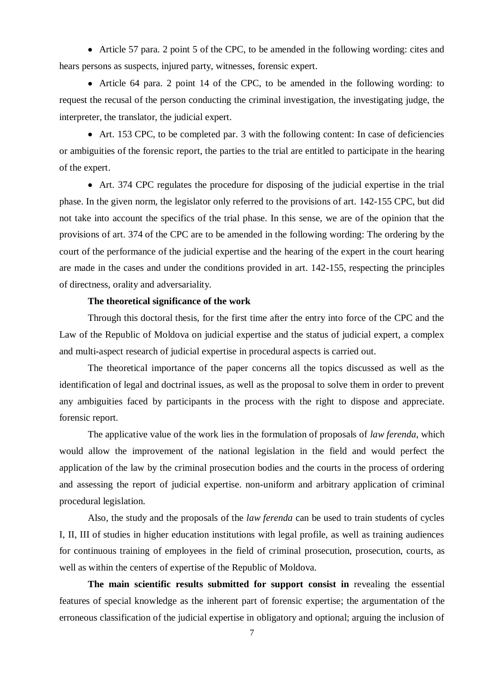Article 57 para. 2 point 5 of the CPC, to be amended in the following wording: cites and hears persons as suspects, injured party, witnesses, forensic expert.

 Article 64 para. 2 point 14 of the CPC, to be amended in the following wording: to request the recusal of the person conducting the criminal investigation, the investigating judge, the interpreter, the translator, the judicial expert.

 Art. 153 CPC, to be completed par. 3 with the following content: In case of deficiencies or ambiguities of the forensic report, the parties to the trial are entitled to participate in the hearing of the expert.

 Art. 374 CPC regulates the procedure for disposing of the judicial expertise in the trial phase. In the given norm, the legislator only referred to the provisions of art. 142-155 CPC, but did not take into account the specifics of the trial phase. In this sense, we are of the opinion that the provisions of art. 374 of the CPC are to be amended in the following wording: The ordering by the court of the performance of the judicial expertise and the hearing of the expert in the court hearing are made in the cases and under the conditions provided in art. 142-155, respecting the principles of directness, orality and adversariality.

#### **The theoretical significance of the work**

Through this doctoral thesis, for the first time after the entry into force of the CPC and the Law of the Republic of Moldova on judicial expertise and the status of judicial expert, a complex and multi-aspect research of judicial expertise in procedural aspects is carried out.

The theoretical importance of the paper concerns all the topics discussed as well as the identification of legal and doctrinal issues, as well as the proposal to solve them in order to prevent any ambiguities faced by participants in the process with the right to dispose and appreciate. forensic report.

The applicative value of the work lies in the formulation of proposals of *law ferenda*, which would allow the improvement of the national legislation in the field and would perfect the application of the law by the criminal prosecution bodies and the courts in the process of ordering and assessing the report of judicial expertise. non-uniform and arbitrary application of criminal procedural legislation.

Also, the study and the proposals of the *law ferenda* can be used to train students of cycles I, II, III of studies in higher education institutions with legal profile, as well as training audiences for continuous training of employees in the field of criminal prosecution, prosecution, courts, as well as within the centers of expertise of the Republic of Moldova.

**The main scientific results submitted for support consist in** revealing the essential features of special knowledge as the inherent part of forensic expertise; the argumentation of the erroneous classification of the judicial expertise in obligatory and optional; arguing the inclusion of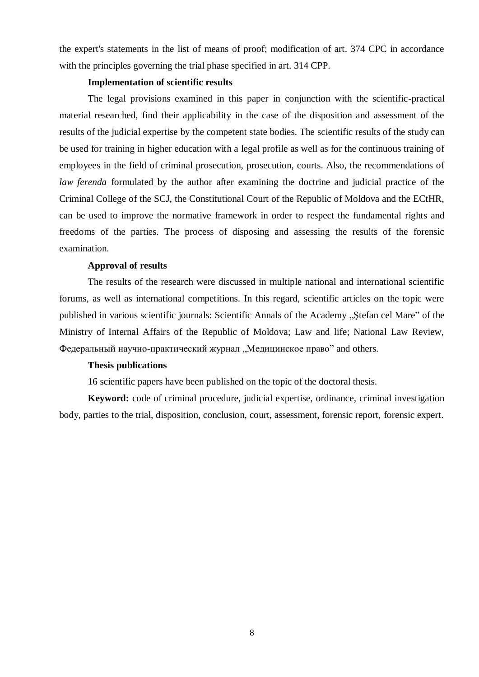the expert's statements in the list of means of proof; modification of art. 374 CPC in accordance with the principles governing the trial phase specified in art. 314 CPP.

#### **Implementation of scientific results**

The legal provisions examined in this paper in conjunction with the scientific-practical material researched, find their applicability in the case of the disposition and assessment of the results of the judicial expertise by the competent state bodies. The scientific results of the study can be used for training in higher education with a legal profile as well as for the continuous training of employees in the field of criminal prosecution, prosecution, courts. Also, the recommendations of *law ferenda* formulated by the author after examining the doctrine and judicial practice of the Criminal College of the SCJ, the Constitutional Court of the Republic of Moldova and the ECtHR, can be used to improve the normative framework in order to respect the fundamental rights and freedoms of the parties. The process of disposing and assessing the results of the forensic examination.

#### **Approval of results**

The results of the research were discussed in multiple national and international scientific forums, as well as international competitions. In this regard, scientific articles on the topic were published in various scientific journals: Scientific Annals of the Academy "Stefan cel Mare" of the Ministry of Internal Affairs of the Republic of Moldova; Law and life; National Law Review, Федеральный научно-практический журнал "Медицинское право" and others.

### **Thesis publications**

16 scientific papers have been published on the topic of the doctoral thesis.

**Keyword:** code of criminal procedure, judicial expertise, ordinance, criminal investigation body, parties to the trial, disposition, conclusion, court, assessment, forensic report, forensic expert.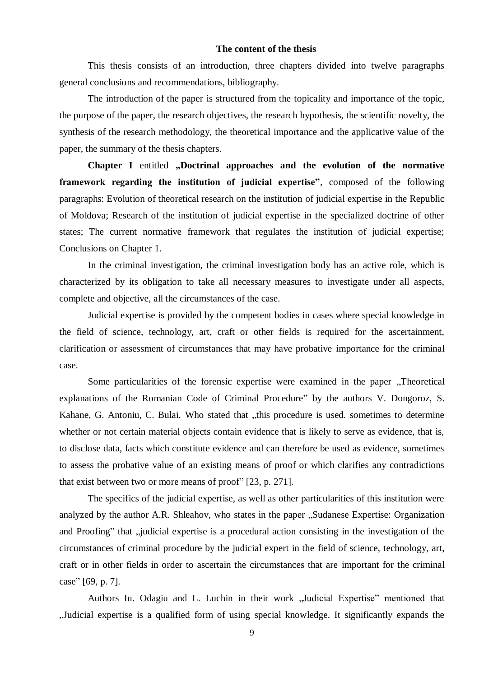### **The content of the thesis**

This thesis consists of an introduction, three chapters divided into twelve paragraphs general conclusions and recommendations, bibliography.

The introduction of the paper is structured from the topicality and importance of the topic, the purpose of the paper, the research objectives, the research hypothesis, the scientific novelty, the synthesis of the research methodology, the theoretical importance and the applicative value of the paper, the summary of the thesis chapters.

**Chapter I** entitled "Doctrinal approaches and the evolution of the normative **framework regarding the institution of judicial expertise"**, composed of the following paragraphs: Evolution of theoretical research on the institution of judicial expertise in the Republic of Moldova; Research of the institution of judicial expertise in the specialized doctrine of other states; The current normative framework that regulates the institution of judicial expertise; Conclusions on Chapter 1.

In the criminal investigation, the criminal investigation body has an active role, which is characterized by its obligation to take all necessary measures to investigate under all aspects, complete and objective, all the circumstances of the case.

Judicial expertise is provided by the competent bodies in cases where special knowledge in the field of science, technology, art, craft or other fields is required for the ascertainment, clarification or assessment of circumstances that may have probative importance for the criminal case.

Some particularities of the forensic expertise were examined in the paper "Theoretical" explanations of the Romanian Code of Criminal Procedure" by the authors V. Dongoroz, S. Kahane, G. Antoniu, C. Bulai. Who stated that "this procedure is used. sometimes to determine whether or not certain material objects contain evidence that is likely to serve as evidence, that is, to disclose data, facts which constitute evidence and can therefore be used as evidence, sometimes to assess the probative value of an existing means of proof or which clarifies any contradictions that exist between two or more means of proof" [23, p. 271].

The specifics of the judicial expertise, as well as other particularities of this institution were analyzed by the author A.R. Shleahov, who states in the paper "Sudanese Expertise: Organization and Proofing" that "judicial expertise is a procedural action consisting in the investigation of the circumstances of criminal procedure by the judicial expert in the field of science, technology, art, craft or in other fields in order to ascertain the circumstances that are important for the criminal case" [69, p. 7].

Authors Iu. Odagiu and L. Luchin in their work "Judicial Expertise" mentioned that "Judicial expertise is a qualified form of using special knowledge. It significantly expands the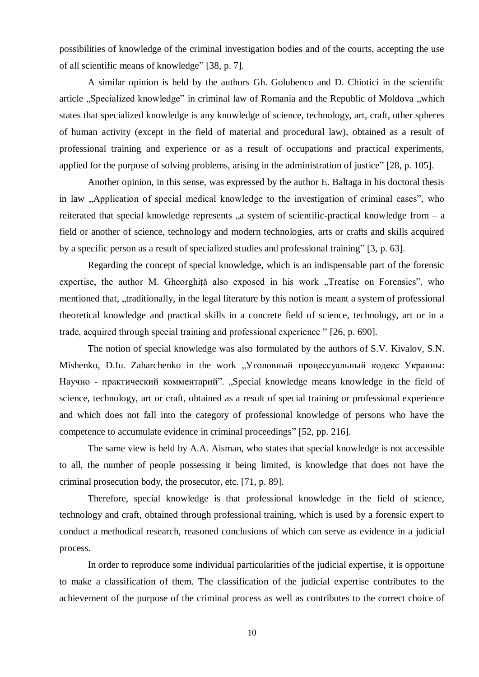possibilities of knowledge of the criminal investigation bodies and of the courts, accepting the use of all scientific means of knowledge" [38, p. 7].

A similar opinion is held by the authors Gh. Golubenco and D. Chiotici in the scientific article "Specialized knowledge" in criminal law of Romania and the Republic of Moldova "which states that specialized knowledge is any knowledge of science, technology, art, craft, other spheres of human activity (except in the field of material and procedural law), obtained as a result of professional training and experience or as a result of occupations and practical experiments, applied for the purpose of solving problems, arising in the administration of justice" [28, p. 105].

Another opinion, in this sense, was expressed by the author E. Baltaga in his doctoral thesis in law , Application of special medical knowledge to the investigation of criminal cases", who reiterated that special knowledge represents  $\alpha$ , a system of scientific-practical knowledge from  $-$  a field or another of science, technology and modern technologies, arts or crafts and skills acquired by a specific person as a result of specialized studies and professional training" [3, p. 63].

Regarding the concept of special knowledge, which is an indispensable part of the forensic expertise, the author M. Gheorghiță also exposed in his work "Treatise on Forensics", who mentioned that, "traditionally, in the legal literature by this notion is meant a system of professional theoretical knowledge and practical skills in a concrete field of science, technology, art or in a trade, acquired through special training and professional experience " [26, p. 690].

The notion of special knowledge was also formulated by the authors of S.V. Kivalov, S.N. Mishenko, D.Iu. Zaharchenko in the work "Уголовный процессуальный кодекс Украины: Научно - практический комментарий". "Special knowledge means knowledge in the field of science, technology, art or craft, obtained as a result of special training or professional experience and which does not fall into the category of professional knowledge of persons who have the competence to accumulate evidence in criminal proceedings" [52, pp. 216].

The same view is held by A.A. Aisman, who states that special knowledge is not accessible to all, the number of people possessing it being limited, is knowledge that does not have the criminal prosecution body, the prosecutor, etc. [71, p. 89].

Therefore, special knowledge is that professional knowledge in the field of science, technology and craft, obtained through professional training, which is used by a forensic expert to conduct a methodical research, reasoned conclusions of which can serve as evidence in a judicial process.

In order to reproduce some individual particularities of the judicial expertise, it is opportune to make a classification of them. The classification of the judicial expertise contributes to the achievement of the purpose of the criminal process as well as contributes to the correct choice of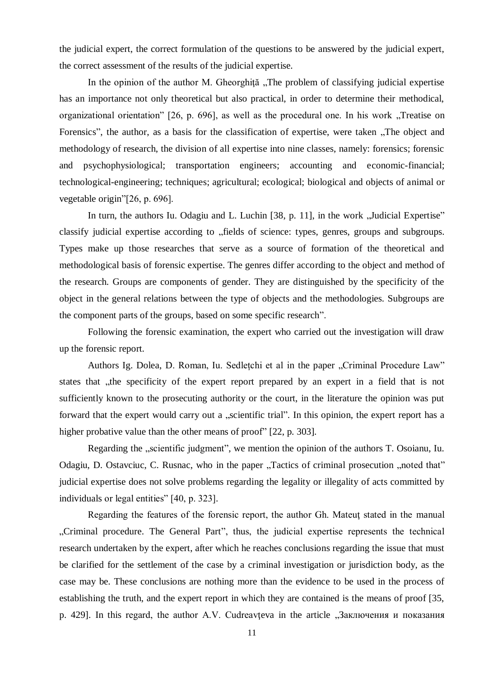the judicial expert, the correct formulation of the questions to be answered by the judicial expert, the correct assessment of the results of the judicial expertise.

In the opinion of the author M. Gheorghită "The problem of classifying judicial expertise has an importance not only theoretical but also practical, in order to determine their methodical, organizational orientation" [26, p. 696], as well as the procedural one. In his work "Treatise on Forensics", the author, as a basis for the classification of expertise, were taken "The object and methodology of research, the division of all expertise into nine classes, namely: forensics; forensic and psychophysiological; transportation engineers; accounting and economic-financial; technological-engineering; techniques; agricultural; ecological; biological and objects of animal or vegetable origin"[26, p. 696].

In turn, the authors Iu. Odagiu and L. Luchin [38, p. 11], in the work "Judicial Expertise" classify judicial expertise according to "fields of science: types, genres, groups and subgroups. Types make up those researches that serve as a source of formation of the theoretical and methodological basis of forensic expertise. The genres differ according to the object and method of the research. Groups are components of gender. They are distinguished by the specificity of the object in the general relations between the type of objects and the methodologies. Subgroups are the component parts of the groups, based on some specific research".

Following the forensic examination, the expert who carried out the investigation will draw up the forensic report.

Authors Ig. Dolea, D. Roman, Iu. Sedletchi et al in the paper "Criminal Procedure Law" states that , the specificity of the expert report prepared by an expert in a field that is not sufficiently known to the prosecuting authority or the court, in the literature the opinion was put forward that the expert would carry out a "scientific trial". In this opinion, the expert report has a higher probative value than the other means of proof" [22, p. 303].

Regarding the "scientific judgment", we mention the opinion of the authors T. Osoianu, Iu. Odagiu, D. Ostavciuc, C. Rusnac, who in the paper "Tactics of criminal prosecution "noted that" judicial expertise does not solve problems regarding the legality or illegality of acts committed by individuals or legal entities" [40, p. 323].

Regarding the features of the forensic report, the author Gh. Mateuţ stated in the manual "Criminal procedure. The General Part", thus, the judicial expertise represents the technical research undertaken by the expert, after which he reaches conclusions regarding the issue that must be clarified for the settlement of the case by a criminal investigation or jurisdiction body, as the case may be. These conclusions are nothing more than the evidence to be used in the process of establishing the truth, and the expert report in which they are contained is the means of proof [35, p. 429]. In this regard, the author A.V. Cudreavteva in the article "Заключения и показания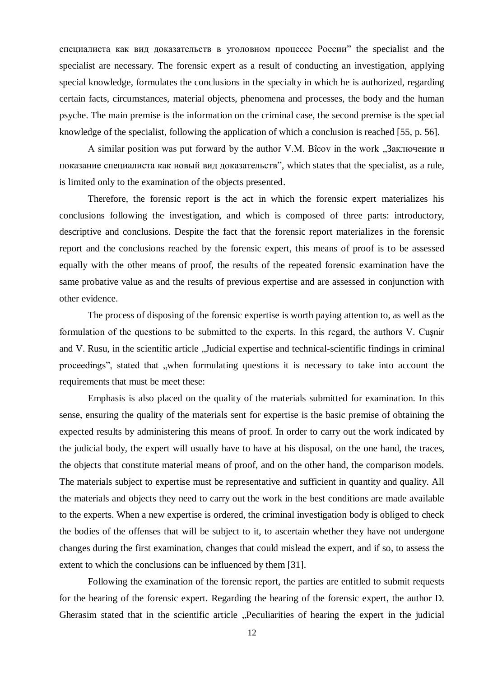специалиста как вид доказательств в уголовном процессе России" the specialist and the specialist are necessary. The forensic expert as a result of conducting an investigation, applying special knowledge, formulates the conclusions in the specialty in which he is authorized, regarding certain facts, circumstances, material objects, phenomena and processes, the body and the human psyche. The main premise is the information on the criminal case, the second premise is the special knowledge of the specialist, following the application of which a conclusion is reached [55, p. 56].

A similar position was put forward by the author V.M. Bîcov in the work "Заключение и показание специалиста как новый вид доказательств", which states that the specialist, as a rule, is limited only to the examination of the objects presented.

Therefore, the forensic report is the act in which the forensic expert materializes his conclusions following the investigation, and which is composed of three parts: introductory, descriptive and conclusions. Despite the fact that the forensic report materializes in the forensic report and the conclusions reached by the forensic expert, this means of proof is to be assessed equally with the other means of proof, the results of the repeated forensic examination have the same probative value as and the results of previous expertise and are assessed in conjunction with other evidence.

The process of disposing of the forensic expertise is worth paying attention to, as well as the formulation of the questions to be submitted to the experts. In this regard, the authors V. Cuşnir and V. Rusu, in the scientific article "Judicial expertise and technical-scientific findings in criminal proceedings", stated that "when formulating questions it is necessary to take into account the requirements that must be meet these:

Emphasis is also placed on the quality of the materials submitted for examination. In this sense, ensuring the quality of the materials sent for expertise is the basic premise of obtaining the expected results by administering this means of proof. In order to carry out the work indicated by the judicial body, the expert will usually have to have at his disposal, on the one hand, the traces, the objects that constitute material means of proof, and on the other hand, the comparison models. The materials subject to expertise must be representative and sufficient in quantity and quality. All the materials and objects they need to carry out the work in the best conditions are made available to the experts. When a new expertise is ordered, the criminal investigation body is obliged to check the bodies of the offenses that will be subject to it, to ascertain whether they have not undergone changes during the first examination, changes that could mislead the expert, and if so, to assess the extent to which the conclusions can be influenced by them [31].

Following the examination of the forensic report, the parties are entitled to submit requests for the hearing of the forensic expert. Regarding the hearing of the forensic expert, the author D. Gherasim stated that in the scientific article "Peculiarities of hearing the expert in the judicial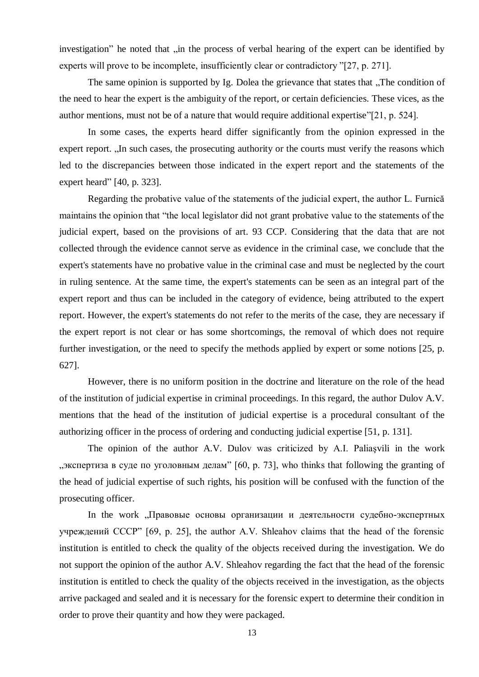investigation" he noted that "in the process of verbal hearing of the expert can be identified by experts will prove to be incomplete, insufficiently clear or contradictory "[27, p. 271].

The same opinion is supported by Ig. Dolea the grievance that states that "The condition of the need to hear the expert is the ambiguity of the report, or certain deficiencies. These vices, as the author mentions, must not be of a nature that would require additional expertise"[21, p. 524].

In some cases, the experts heard differ significantly from the opinion expressed in the expert report. "In such cases, the prosecuting authority or the courts must verify the reasons which led to the discrepancies between those indicated in the expert report and the statements of the expert heard" [40, p. 323].

Regarding the probative value of the statements of the judicial expert, the author L. Furnică maintains the opinion that "the local legislator did not grant probative value to the statements of the judicial expert, based on the provisions of art. 93 CCP. Considering that the data that are not collected through the evidence cannot serve as evidence in the criminal case, we conclude that the expert's statements have no probative value in the criminal case and must be neglected by the court in ruling sentence. At the same time, the expert's statements can be seen as an integral part of the expert report and thus can be included in the category of evidence, being attributed to the expert report. However, the expert's statements do not refer to the merits of the case, they are necessary if the expert report is not clear or has some shortcomings, the removal of which does not require further investigation, or the need to specify the methods applied by expert or some notions [25, p. 627].

However, there is no uniform position in the doctrine and literature on the role of the head of the institution of judicial expertise in criminal proceedings. In this regard, the author Dulov A.V. mentions that the head of the institution of judicial expertise is a procedural consultant of the authorizing officer in the process of ordering and conducting judicial expertise [51, p. 131].

The opinion of the author A.V. Dulov was criticized by A.I. Paliaşvili in the work "экспертиза в суде по уголовным делам"  $[60, p. 73]$ , who thinks that following the granting of the head of judicial expertise of such rights, his position will be confused with the function of the prosecuting officer.

In the work "Правовые основы организации и деятельности судебно-экспертных учреждений СССР" [69, p. 25], the author A.V. Shleahov claims that the head of the forensic institution is entitled to check the quality of the objects received during the investigation. We do not support the opinion of the author A.V. Shleahov regarding the fact that the head of the forensic institution is entitled to check the quality of the objects received in the investigation, as the objects arrive packaged and sealed and it is necessary for the forensic expert to determine their condition in order to prove their quantity and how they were packaged.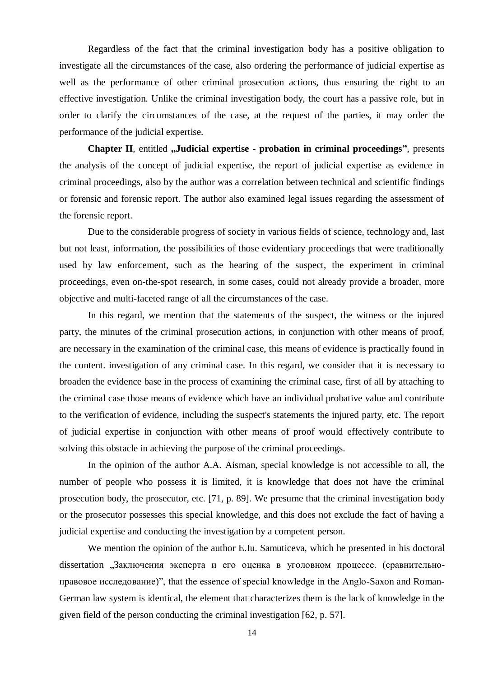Regardless of the fact that the criminal investigation body has a positive obligation to investigate all the circumstances of the case, also ordering the performance of judicial expertise as well as the performance of other criminal prosecution actions, thus ensuring the right to an effective investigation. Unlike the criminal investigation body, the court has a passive role, but in order to clarify the circumstances of the case, at the request of the parties, it may order the performance of the judicial expertise.

**Chapter II**, entitled **"Judicial expertise - probation in criminal proceedings**", presents the analysis of the concept of judicial expertise, the report of judicial expertise as evidence in criminal proceedings, also by the author was a correlation between technical and scientific findings or forensic and forensic report. The author also examined legal issues regarding the assessment of the forensic report.

Due to the considerable progress of society in various fields of science, technology and, last but not least, information, the possibilities of those evidentiary proceedings that were traditionally used by law enforcement, such as the hearing of the suspect, the experiment in criminal proceedings, even on-the-spot research, in some cases, could not already provide a broader, more objective and multi-faceted range of all the circumstances of the case.

In this regard, we mention that the statements of the suspect, the witness or the injured party, the minutes of the criminal prosecution actions, in conjunction with other means of proof, are necessary in the examination of the criminal case, this means of evidence is practically found in the content. investigation of any criminal case. In this regard, we consider that it is necessary to broaden the evidence base in the process of examining the criminal case, first of all by attaching to the criminal case those means of evidence which have an individual probative value and contribute to the verification of evidence, including the suspect's statements the injured party, etc. The report of judicial expertise in conjunction with other means of proof would effectively contribute to solving this obstacle in achieving the purpose of the criminal proceedings.

In the opinion of the author A.A. Aisman, special knowledge is not accessible to all, the number of people who possess it is limited, it is knowledge that does not have the criminal prosecution body, the prosecutor, etc. [71, p. 89]. We presume that the criminal investigation body or the prosecutor possesses this special knowledge, and this does not exclude the fact of having a judicial expertise and conducting the investigation by a competent person.

We mention the opinion of the author E.Iu. Samuticeva, which he presented in his doctoral dissertation "Заключения эксперта и его оценка в уголовном процессе. (сравнительноправовое исследование)", that the essence of special knowledge in the Anglo-Saxon and Roman-German law system is identical, the element that characterizes them is the lack of knowledge in the given field of the person conducting the criminal investigation [62, p. 57].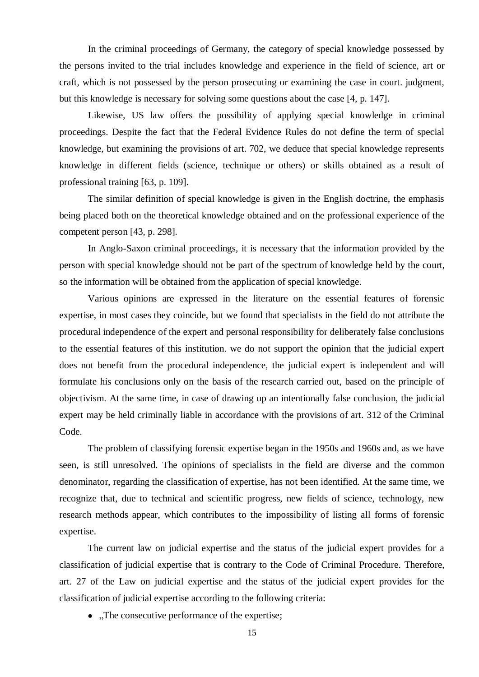In the criminal proceedings of Germany, the category of special knowledge possessed by the persons invited to the trial includes knowledge and experience in the field of science, art or craft, which is not possessed by the person prosecuting or examining the case in court. judgment, but this knowledge is necessary for solving some questions about the case [4, p. 147].

Likewise, US law offers the possibility of applying special knowledge in criminal proceedings. Despite the fact that the Federal Evidence Rules do not define the term of special knowledge, but examining the provisions of art. 702, we deduce that special knowledge represents knowledge in different fields (science, technique or others) or skills obtained as a result of professional training [63, p. 109].

The similar definition of special knowledge is given in the English doctrine, the emphasis being placed both on the theoretical knowledge obtained and on the professional experience of the competent person [43, p. 298].

In Anglo-Saxon criminal proceedings, it is necessary that the information provided by the person with special knowledge should not be part of the spectrum of knowledge held by the court, so the information will be obtained from the application of special knowledge.

Various opinions are expressed in the literature on the essential features of forensic expertise, in most cases they coincide, but we found that specialists in the field do not attribute the procedural independence of the expert and personal responsibility for deliberately false conclusions to the essential features of this institution. we do not support the opinion that the judicial expert does not benefit from the procedural independence, the judicial expert is independent and will formulate his conclusions only on the basis of the research carried out, based on the principle of objectivism. At the same time, in case of drawing up an intentionally false conclusion, the judicial expert may be held criminally liable in accordance with the provisions of art. 312 of the Criminal Code.

The problem of classifying forensic expertise began in the 1950s and 1960s and, as we have seen, is still unresolved. The opinions of specialists in the field are diverse and the common denominator, regarding the classification of expertise, has not been identified. At the same time, we recognize that, due to technical and scientific progress, new fields of science, technology, new research methods appear, which contributes to the impossibility of listing all forms of forensic expertise.

The current law on judicial expertise and the status of the judicial expert provides for a classification of judicial expertise that is contrary to the Code of Criminal Procedure. Therefore, art. 27 of the Law on judicial expertise and the status of the judicial expert provides for the classification of judicial expertise according to the following criteria:

 $\bullet$ . The consecutive performance of the expertise;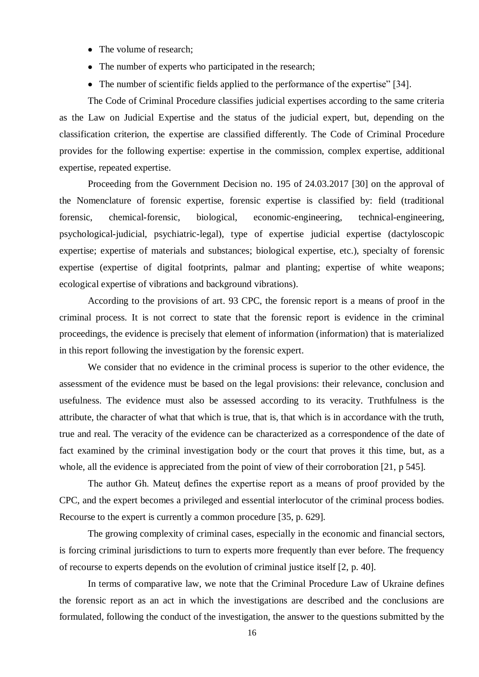- The volume of research:
- The number of experts who participated in the research;
- The number of scientific fields applied to the performance of the expertise" [34].

The Code of Criminal Procedure classifies judicial expertises according to the same criteria as the Law on Judicial Expertise and the status of the judicial expert, but, depending on the classification criterion, the expertise are classified differently. The Code of Criminal Procedure provides for the following expertise: expertise in the commission, complex expertise, additional expertise, repeated expertise.

Proceeding from the Government Decision no. 195 of 24.03.2017 [30] on the approval of the Nomenclature of forensic expertise, forensic expertise is classified by: field (traditional forensic, chemical-forensic, biological, economic-engineering, technical-engineering, psychological-judicial, psychiatric-legal), type of expertise judicial expertise (dactyloscopic expertise; expertise of materials and substances; biological expertise, etc.), specialty of forensic expertise (expertise of digital footprints, palmar and planting; expertise of white weapons; ecological expertise of vibrations and background vibrations).

According to the provisions of art. 93 CPC, the forensic report is a means of proof in the criminal process. It is not correct to state that the forensic report is evidence in the criminal proceedings, the evidence is precisely that element of information (information) that is materialized in this report following the investigation by the forensic expert.

We consider that no evidence in the criminal process is superior to the other evidence, the assessment of the evidence must be based on the legal provisions: their relevance, conclusion and usefulness. The evidence must also be assessed according to its veracity. Truthfulness is the attribute, the character of what that which is true, that is, that which is in accordance with the truth, true and real. The veracity of the evidence can be characterized as a correspondence of the date of fact examined by the criminal investigation body or the court that proves it this time, but, as a whole, all the evidence is appreciated from the point of view of their corroboration [21, p 545].

The author Gh. Mateuţ defines the expertise report as a means of proof provided by the CPC, and the expert becomes a privileged and essential interlocutor of the criminal process bodies. Recourse to the expert is currently a common procedure [35, p. 629].

The growing complexity of criminal cases, especially in the economic and financial sectors, is forcing criminal jurisdictions to turn to experts more frequently than ever before. The frequency of recourse to experts depends on the evolution of criminal justice itself [2, p. 40].

In terms of comparative law, we note that the Criminal Procedure Law of Ukraine defines the forensic report as an act in which the investigations are described and the conclusions are formulated, following the conduct of the investigation, the answer to the questions submitted by the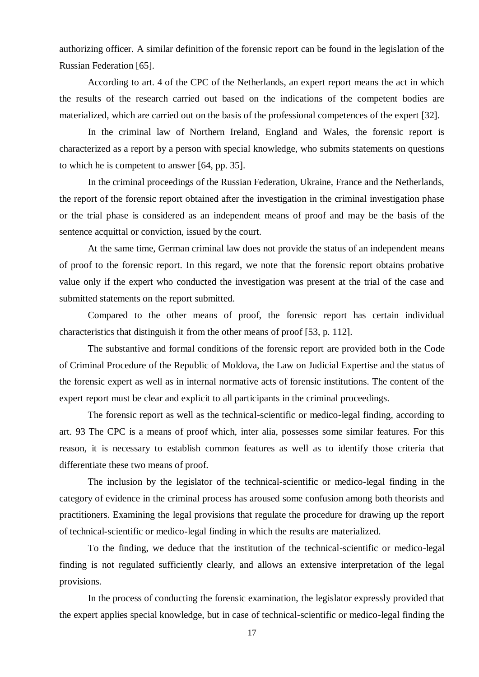authorizing officer. A similar definition of the forensic report can be found in the legislation of the Russian Federation [65].

According to art. 4 of the CPC of the Netherlands, an expert report means the act in which the results of the research carried out based on the indications of the competent bodies are materialized, which are carried out on the basis of the professional competences of the expert [32].

In the criminal law of Northern Ireland, England and Wales, the forensic report is characterized as a report by a person with special knowledge, who submits statements on questions to which he is competent to answer [64, pp. 35].

In the criminal proceedings of the Russian Federation, Ukraine, France and the Netherlands, the report of the forensic report obtained after the investigation in the criminal investigation phase or the trial phase is considered as an independent means of proof and may be the basis of the sentence acquittal or conviction, issued by the court.

At the same time, German criminal law does not provide the status of an independent means of proof to the forensic report. In this regard, we note that the forensic report obtains probative value only if the expert who conducted the investigation was present at the trial of the case and submitted statements on the report submitted.

Compared to the other means of proof, the forensic report has certain individual characteristics that distinguish it from the other means of proof [53, p. 112].

The substantive and formal conditions of the forensic report are provided both in the Code of Criminal Procedure of the Republic of Moldova, the Law on Judicial Expertise and the status of the forensic expert as well as in internal normative acts of forensic institutions. The content of the expert report must be clear and explicit to all participants in the criminal proceedings.

The forensic report as well as the technical-scientific or medico-legal finding, according to art. 93 The CPC is a means of proof which, inter alia, possesses some similar features. For this reason, it is necessary to establish common features as well as to identify those criteria that differentiate these two means of proof.

The inclusion by the legislator of the technical-scientific or medico-legal finding in the category of evidence in the criminal process has aroused some confusion among both theorists and practitioners. Examining the legal provisions that regulate the procedure for drawing up the report of technical-scientific or medico-legal finding in which the results are materialized.

To the finding, we deduce that the institution of the technical-scientific or medico-legal finding is not regulated sufficiently clearly, and allows an extensive interpretation of the legal provisions.

In the process of conducting the forensic examination, the legislator expressly provided that the expert applies special knowledge, but in case of technical-scientific or medico-legal finding the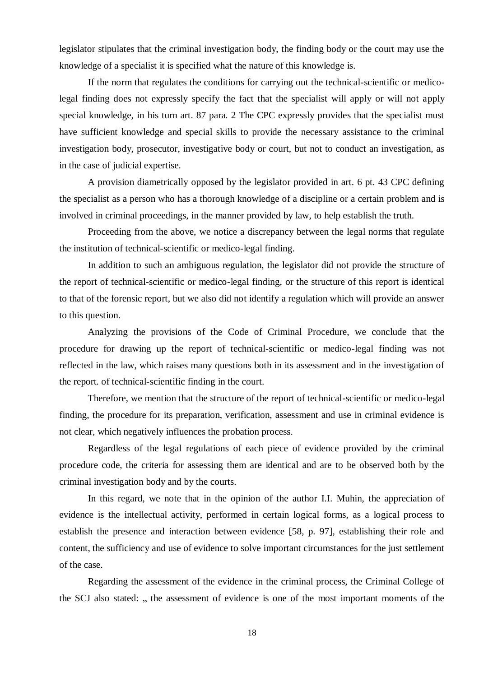legislator stipulates that the criminal investigation body, the finding body or the court may use the knowledge of a specialist it is specified what the nature of this knowledge is.

If the norm that regulates the conditions for carrying out the technical-scientific or medicolegal finding does not expressly specify the fact that the specialist will apply or will not apply special knowledge, in his turn art. 87 para. 2 The CPC expressly provides that the specialist must have sufficient knowledge and special skills to provide the necessary assistance to the criminal investigation body, prosecutor, investigative body or court, but not to conduct an investigation, as in the case of judicial expertise.

A provision diametrically opposed by the legislator provided in art. 6 pt. 43 CPC defining the specialist as a person who has a thorough knowledge of a discipline or a certain problem and is involved in criminal proceedings, in the manner provided by law, to help establish the truth.

Proceeding from the above, we notice a discrepancy between the legal norms that regulate the institution of technical-scientific or medico-legal finding.

In addition to such an ambiguous regulation, the legislator did not provide the structure of the report of technical-scientific or medico-legal finding, or the structure of this report is identical to that of the forensic report, but we also did not identify a regulation which will provide an answer to this question.

Analyzing the provisions of the Code of Criminal Procedure, we conclude that the procedure for drawing up the report of technical-scientific or medico-legal finding was not reflected in the law, which raises many questions both in its assessment and in the investigation of the report. of technical-scientific finding in the court.

Therefore, we mention that the structure of the report of technical-scientific or medico-legal finding, the procedure for its preparation, verification, assessment and use in criminal evidence is not clear, which negatively influences the probation process.

Regardless of the legal regulations of each piece of evidence provided by the criminal procedure code, the criteria for assessing them are identical and are to be observed both by the criminal investigation body and by the courts.

In this regard, we note that in the opinion of the author I.I. Muhin, the appreciation of evidence is the intellectual activity, performed in certain logical forms, as a logical process to establish the presence and interaction between evidence [58, p. 97], establishing their role and content, the sufficiency and use of evidence to solve important circumstances for the just settlement of the case.

Regarding the assessment of the evidence in the criminal process, the Criminal College of the SCJ also stated: ", the assessment of evidence is one of the most important moments of the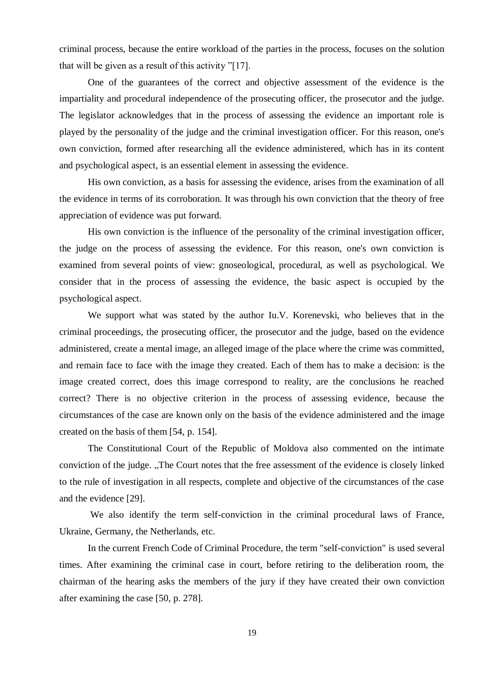criminal process, because the entire workload of the parties in the process, focuses on the solution that will be given as a result of this activity "[17].

One of the guarantees of the correct and objective assessment of the evidence is the impartiality and procedural independence of the prosecuting officer, the prosecutor and the judge. The legislator acknowledges that in the process of assessing the evidence an important role is played by the personality of the judge and the criminal investigation officer. For this reason, one's own conviction, formed after researching all the evidence administered, which has in its content and psychological aspect, is an essential element in assessing the evidence.

His own conviction, as a basis for assessing the evidence, arises from the examination of all the evidence in terms of its corroboration. It was through his own conviction that the theory of free appreciation of evidence was put forward.

His own conviction is the influence of the personality of the criminal investigation officer, the judge on the process of assessing the evidence. For this reason, one's own conviction is examined from several points of view: gnoseological, procedural, as well as psychological. We consider that in the process of assessing the evidence, the basic aspect is occupied by the psychological aspect.

We support what was stated by the author Iu.V. Korenevski, who believes that in the criminal proceedings, the prosecuting officer, the prosecutor and the judge, based on the evidence administered, create a mental image, an alleged image of the place where the crime was committed, and remain face to face with the image they created. Each of them has to make a decision: is the image created correct, does this image correspond to reality, are the conclusions he reached correct? There is no objective criterion in the process of assessing evidence, because the circumstances of the case are known only on the basis of the evidence administered and the image created on the basis of them [54, p. 154].

The Constitutional Court of the Republic of Moldova also commented on the intimate conviction of the judge. "The Court notes that the free assessment of the evidence is closely linked to the rule of investigation in all respects, complete and objective of the circumstances of the case and the evidence [29].

We also identify the term self-conviction in the criminal procedural laws of France, Ukraine, Germany, the Netherlands, etc.

In the current French Code of Criminal Procedure, the term "self-conviction" is used several times. After examining the criminal case in court, before retiring to the deliberation room, the chairman of the hearing asks the members of the jury if they have created their own conviction after examining the case [50, p. 278].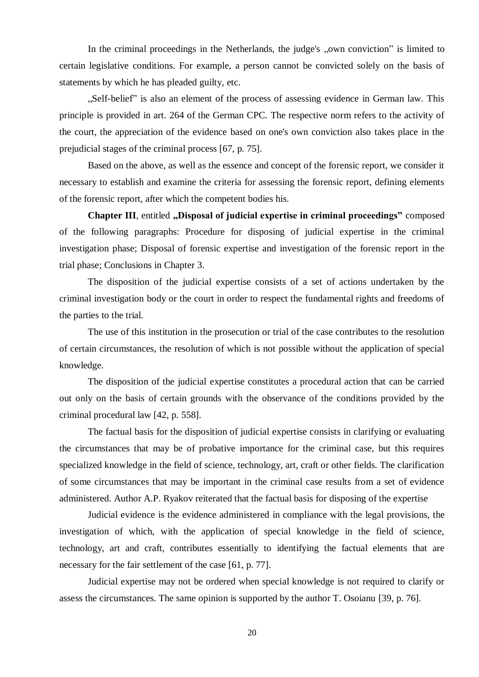In the criminal proceedings in the Netherlands, the judge's "own conviction" is limited to certain legislative conditions. For example, a person cannot be convicted solely on the basis of statements by which he has pleaded guilty, etc.

"Self-belief" is also an element of the process of assessing evidence in German law. This principle is provided in art. 264 of the German CPC. The respective norm refers to the activity of the court, the appreciation of the evidence based on one's own conviction also takes place in the prejudicial stages of the criminal process [67, p. 75].

Based on the above, as well as the essence and concept of the forensic report, we consider it necessary to establish and examine the criteria for assessing the forensic report, defining elements of the forensic report, after which the competent bodies his.

**Chapter III**, entitled **"Disposal of judicial expertise in criminal proceedings**" composed of the following paragraphs: Procedure for disposing of judicial expertise in the criminal investigation phase; Disposal of forensic expertise and investigation of the forensic report in the trial phase; Conclusions in Chapter 3.

The disposition of the judicial expertise consists of a set of actions undertaken by the criminal investigation body or the court in order to respect the fundamental rights and freedoms of the parties to the trial.

The use of this institution in the prosecution or trial of the case contributes to the resolution of certain circumstances, the resolution of which is not possible without the application of special knowledge.

The disposition of the judicial expertise constitutes a procedural action that can be carried out only on the basis of certain grounds with the observance of the conditions provided by the criminal procedural law [42, p. 558].

The factual basis for the disposition of judicial expertise consists in clarifying or evaluating the circumstances that may be of probative importance for the criminal case, but this requires specialized knowledge in the field of science, technology, art, craft or other fields. The clarification of some circumstances that may be important in the criminal case results from a set of evidence administered. Author A.P. Ryakov reiterated that the factual basis for disposing of the expertise

Judicial evidence is the evidence administered in compliance with the legal provisions, the investigation of which, with the application of special knowledge in the field of science, technology, art and craft, contributes essentially to identifying the factual elements that are necessary for the fair settlement of the case [61, p. 77].

Judicial expertise may not be ordered when special knowledge is not required to clarify or assess the circumstances. The same opinion is supported by the author T. Osoianu [39, p. 76].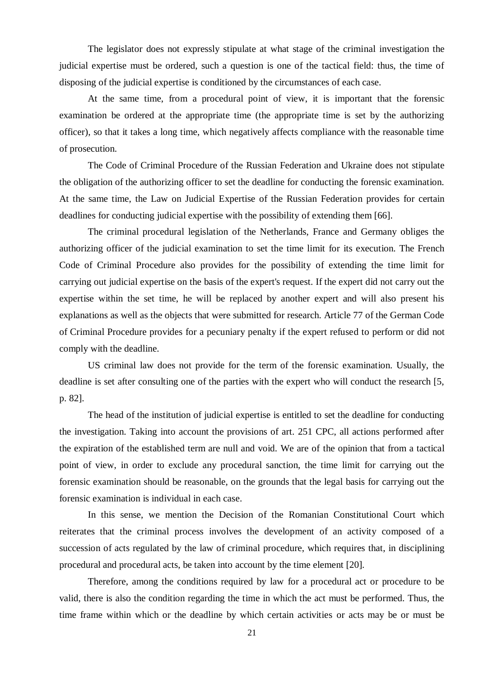The legislator does not expressly stipulate at what stage of the criminal investigation the judicial expertise must be ordered, such a question is one of the tactical field: thus, the time of disposing of the judicial expertise is conditioned by the circumstances of each case.

At the same time, from a procedural point of view, it is important that the forensic examination be ordered at the appropriate time (the appropriate time is set by the authorizing officer), so that it takes a long time, which negatively affects compliance with the reasonable time of prosecution.

The Code of Criminal Procedure of the Russian Federation and Ukraine does not stipulate the obligation of the authorizing officer to set the deadline for conducting the forensic examination. At the same time, the Law on Judicial Expertise of the Russian Federation provides for certain deadlines for conducting judicial expertise with the possibility of extending them [66].

The criminal procedural legislation of the Netherlands, France and Germany obliges the authorizing officer of the judicial examination to set the time limit for its execution. The French Code of Criminal Procedure also provides for the possibility of extending the time limit for carrying out judicial expertise on the basis of the expert's request. If the expert did not carry out the expertise within the set time, he will be replaced by another expert and will also present his explanations as well as the objects that were submitted for research. Article 77 of the German Code of Criminal Procedure provides for a pecuniary penalty if the expert refused to perform or did not comply with the deadline.

US criminal law does not provide for the term of the forensic examination. Usually, the deadline is set after consulting one of the parties with the expert who will conduct the research [5, p. 82].

The head of the institution of judicial expertise is entitled to set the deadline for conducting the investigation. Taking into account the provisions of art. 251 CPC, all actions performed after the expiration of the established term are null and void. We are of the opinion that from a tactical point of view, in order to exclude any procedural sanction, the time limit for carrying out the forensic examination should be reasonable, on the grounds that the legal basis for carrying out the forensic examination is individual in each case.

In this sense, we mention the Decision of the Romanian Constitutional Court which reiterates that the criminal process involves the development of an activity composed of a succession of acts regulated by the law of criminal procedure, which requires that, in disciplining procedural and procedural acts, be taken into account by the time element [20].

Therefore, among the conditions required by law for a procedural act or procedure to be valid, there is also the condition regarding the time in which the act must be performed. Thus, the time frame within which or the deadline by which certain activities or acts may be or must be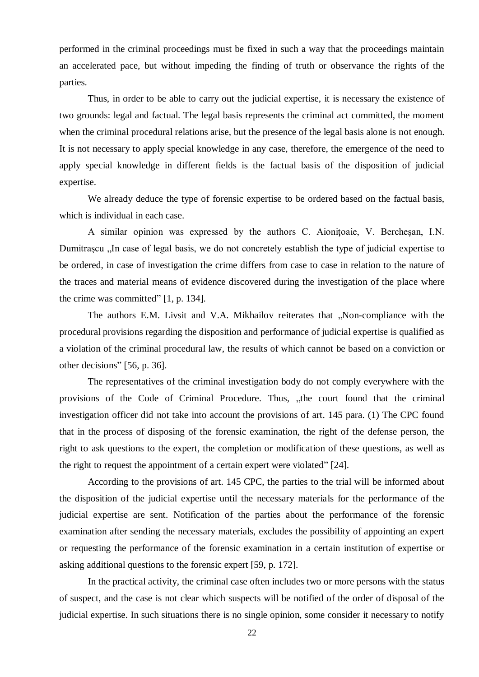performed in the criminal proceedings must be fixed in such a way that the proceedings maintain an accelerated pace, but without impeding the finding of truth or observance the rights of the parties.

Thus, in order to be able to carry out the judicial expertise, it is necessary the existence of two grounds: legal and factual. The legal basis represents the criminal act committed, the moment when the criminal procedural relations arise, but the presence of the legal basis alone is not enough. It is not necessary to apply special knowledge in any case, therefore, the emergence of the need to apply special knowledge in different fields is the factual basis of the disposition of judicial expertise.

We already deduce the type of forensic expertise to be ordered based on the factual basis, which is individual in each case.

A similar opinion was expressed by the authors C. Aioniţoaie, V. Bercheşan, I.N. Dumitrascu ...In case of legal basis, we do not concretely establish the type of judicial expertise to be ordered, in case of investigation the crime differs from case to case in relation to the nature of the traces and material means of evidence discovered during the investigation of the place where the crime was committed" [1, p. 134].

The authors E.M. Livsit and V.A. Mikhailov reiterates that "Non-compliance with the procedural provisions regarding the disposition and performance of judicial expertise is qualified as a violation of the criminal procedural law, the results of which cannot be based on a conviction or other decisions" [56, p. 36].

The representatives of the criminal investigation body do not comply everywhere with the provisions of the Code of Criminal Procedure. Thus, "the court found that the criminal investigation officer did not take into account the provisions of art. 145 para. (1) The CPC found that in the process of disposing of the forensic examination, the right of the defense person, the right to ask questions to the expert, the completion or modification of these questions, as well as the right to request the appointment of a certain expert were violated" [24].

According to the provisions of art. 145 CPC, the parties to the trial will be informed about the disposition of the judicial expertise until the necessary materials for the performance of the judicial expertise are sent. Notification of the parties about the performance of the forensic examination after sending the necessary materials, excludes the possibility of appointing an expert or requesting the performance of the forensic examination in a certain institution of expertise or asking additional questions to the forensic expert [59, p. 172].

In the practical activity, the criminal case often includes two or more persons with the status of suspect, and the case is not clear which suspects will be notified of the order of disposal of the judicial expertise. In such situations there is no single opinion, some consider it necessary to notify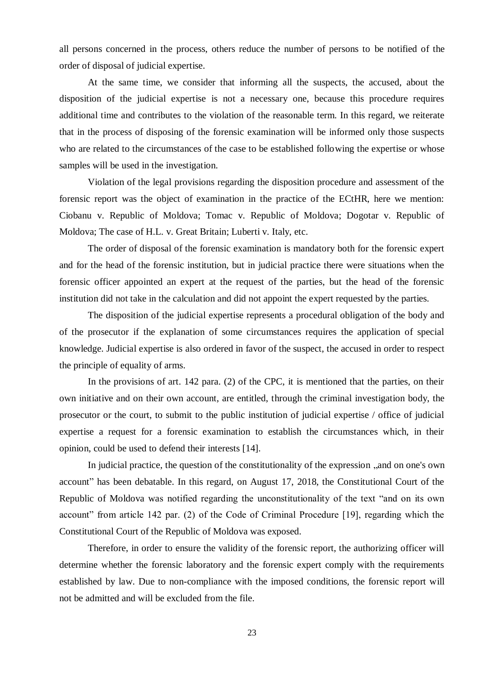all persons concerned in the process, others reduce the number of persons to be notified of the order of disposal of judicial expertise.

At the same time, we consider that informing all the suspects, the accused, about the disposition of the judicial expertise is not a necessary one, because this procedure requires additional time and contributes to the violation of the reasonable term. In this regard, we reiterate that in the process of disposing of the forensic examination will be informed only those suspects who are related to the circumstances of the case to be established following the expertise or whose samples will be used in the investigation.

Violation of the legal provisions regarding the disposition procedure and assessment of the forensic report was the object of examination in the practice of the ECtHR, here we mention: Ciobanu v. Republic of Moldova; Tomac v. Republic of Moldova; Dogotar v. Republic of Moldova; The case of H.L. v. Great Britain; Luberti v. Italy, etc.

The order of disposal of the forensic examination is mandatory both for the forensic expert and for the head of the forensic institution, but in judicial practice there were situations when the forensic officer appointed an expert at the request of the parties, but the head of the forensic institution did not take in the calculation and did not appoint the expert requested by the parties.

The disposition of the judicial expertise represents a procedural obligation of the body and of the prosecutor if the explanation of some circumstances requires the application of special knowledge. Judicial expertise is also ordered in favor of the suspect, the accused in order to respect the principle of equality of arms.

In the provisions of art. 142 para. (2) of the CPC, it is mentioned that the parties, on their own initiative and on their own account, are entitled, through the criminal investigation body, the prosecutor or the court, to submit to the public institution of judicial expertise / office of judicial expertise a request for a forensic examination to establish the circumstances which, in their opinion, could be used to defend their interests [14].

In judicial practice, the question of the constitutionality of the expression ,, and on one's own account" has been debatable. In this regard, on August 17, 2018, the Constitutional Court of the Republic of Moldova was notified regarding the unconstitutionality of the text "and on its own account" from article 142 par. (2) of the Code of Criminal Procedure [19], regarding which the Constitutional Court of the Republic of Moldova was exposed.

Therefore, in order to ensure the validity of the forensic report, the authorizing officer will determine whether the forensic laboratory and the forensic expert comply with the requirements established by law. Due to non-compliance with the imposed conditions, the forensic report will not be admitted and will be excluded from the file.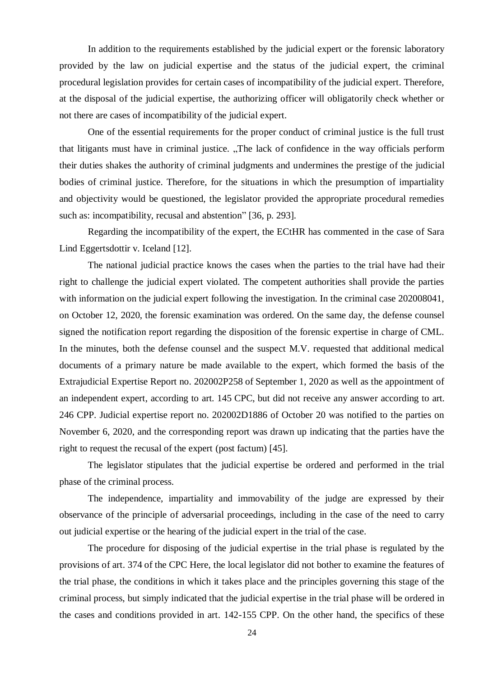In addition to the requirements established by the judicial expert or the forensic laboratory provided by the law on judicial expertise and the status of the judicial expert, the criminal procedural legislation provides for certain cases of incompatibility of the judicial expert. Therefore, at the disposal of the judicial expertise, the authorizing officer will obligatorily check whether or not there are cases of incompatibility of the judicial expert.

One of the essential requirements for the proper conduct of criminal justice is the full trust that litigants must have in criminal justice. "The lack of confidence in the way officials perform their duties shakes the authority of criminal judgments and undermines the prestige of the judicial bodies of criminal justice. Therefore, for the situations in which the presumption of impartiality and objectivity would be questioned, the legislator provided the appropriate procedural remedies such as: incompatibility, recusal and abstention" [36, p. 293].

Regarding the incompatibility of the expert, the ECtHR has commented in the case of Sara Lind Eggertsdottir v. Iceland [12].

The national judicial practice knows the cases when the parties to the trial have had their right to challenge the judicial expert violated. The competent authorities shall provide the parties with information on the judicial expert following the investigation. In the criminal case 202008041, on October 12, 2020, the forensic examination was ordered. On the same day, the defense counsel signed the notification report regarding the disposition of the forensic expertise in charge of CML. In the minutes, both the defense counsel and the suspect M.V. requested that additional medical documents of a primary nature be made available to the expert, which formed the basis of the Extrajudicial Expertise Report no. 202002P258 of September 1, 2020 as well as the appointment of an independent expert, according to art. 145 CPC, but did not receive any answer according to art. 246 CPP. Judicial expertise report no. 202002D1886 of October 20 was notified to the parties on November 6, 2020, and the corresponding report was drawn up indicating that the parties have the right to request the recusal of the expert (post factum) [45].

The legislator stipulates that the judicial expertise be ordered and performed in the trial phase of the criminal process.

The independence, impartiality and immovability of the judge are expressed by their observance of the principle of adversarial proceedings, including in the case of the need to carry out judicial expertise or the hearing of the judicial expert in the trial of the case.

The procedure for disposing of the judicial expertise in the trial phase is regulated by the provisions of art. 374 of the CPC Here, the local legislator did not bother to examine the features of the trial phase, the conditions in which it takes place and the principles governing this stage of the criminal process, but simply indicated that the judicial expertise in the trial phase will be ordered in the cases and conditions provided in art. 142-155 CPP. On the other hand, the specifics of these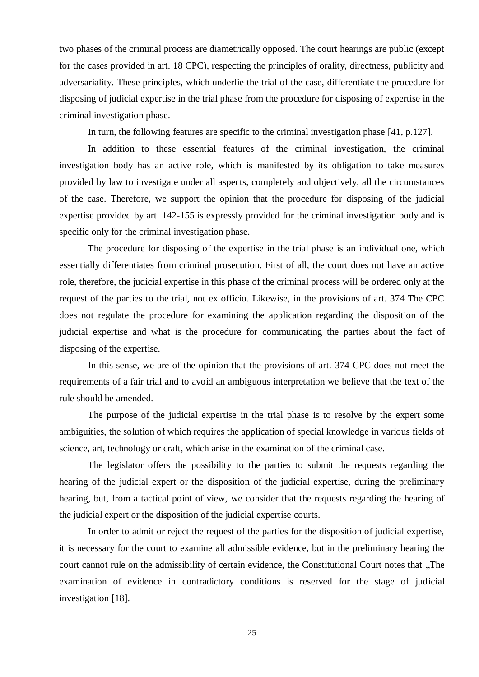two phases of the criminal process are diametrically opposed. The court hearings are public (except for the cases provided in art. 18 CPC), respecting the principles of orality, directness, publicity and adversariality. These principles, which underlie the trial of the case, differentiate the procedure for disposing of judicial expertise in the trial phase from the procedure for disposing of expertise in the criminal investigation phase.

In turn, the following features are specific to the criminal investigation phase [41, p.127].

In addition to these essential features of the criminal investigation, the criminal investigation body has an active role, which is manifested by its obligation to take measures provided by law to investigate under all aspects, completely and objectively, all the circumstances of the case. Therefore, we support the opinion that the procedure for disposing of the judicial expertise provided by art. 142-155 is expressly provided for the criminal investigation body and is specific only for the criminal investigation phase.

The procedure for disposing of the expertise in the trial phase is an individual one, which essentially differentiates from criminal prosecution. First of all, the court does not have an active role, therefore, the judicial expertise in this phase of the criminal process will be ordered only at the request of the parties to the trial, not ex officio. Likewise, in the provisions of art. 374 The CPC does not regulate the procedure for examining the application regarding the disposition of the judicial expertise and what is the procedure for communicating the parties about the fact of disposing of the expertise.

In this sense, we are of the opinion that the provisions of art. 374 CPC does not meet the requirements of a fair trial and to avoid an ambiguous interpretation we believe that the text of the rule should be amended.

The purpose of the judicial expertise in the trial phase is to resolve by the expert some ambiguities, the solution of which requires the application of special knowledge in various fields of science, art, technology or craft, which arise in the examination of the criminal case.

The legislator offers the possibility to the parties to submit the requests regarding the hearing of the judicial expert or the disposition of the judicial expertise, during the preliminary hearing, but, from a tactical point of view, we consider that the requests regarding the hearing of the judicial expert or the disposition of the judicial expertise courts.

In order to admit or reject the request of the parties for the disposition of judicial expertise, it is necessary for the court to examine all admissible evidence, but in the preliminary hearing the court cannot rule on the admissibility of certain evidence, the Constitutional Court notes that "The examination of evidence in contradictory conditions is reserved for the stage of judicial investigation [18].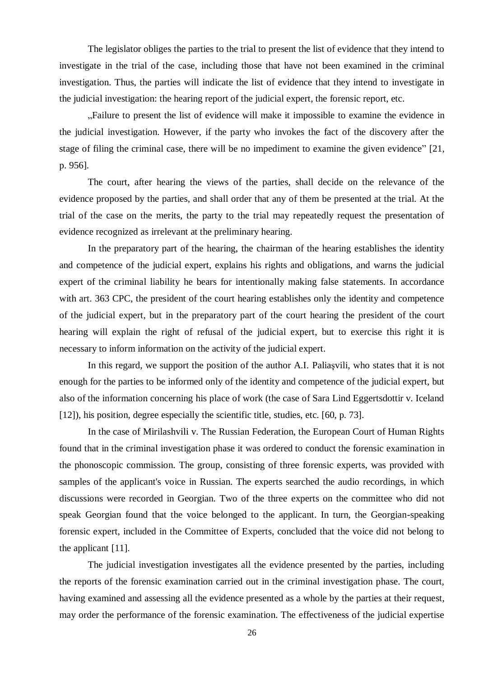The legislator obliges the parties to the trial to present the list of evidence that they intend to investigate in the trial of the case, including those that have not been examined in the criminal investigation. Thus, the parties will indicate the list of evidence that they intend to investigate in the judicial investigation: the hearing report of the judicial expert, the forensic report, etc.

"Failure to present the list of evidence will make it impossible to examine the evidence in the judicial investigation. However, if the party who invokes the fact of the discovery after the stage of filing the criminal case, there will be no impediment to examine the given evidence" [21, p. 956].

The court, after hearing the views of the parties, shall decide on the relevance of the evidence proposed by the parties, and shall order that any of them be presented at the trial. At the trial of the case on the merits, the party to the trial may repeatedly request the presentation of evidence recognized as irrelevant at the preliminary hearing.

In the preparatory part of the hearing, the chairman of the hearing establishes the identity and competence of the judicial expert, explains his rights and obligations, and warns the judicial expert of the criminal liability he bears for intentionally making false statements. In accordance with art. 363 CPC, the president of the court hearing establishes only the identity and competence of the judicial expert, but in the preparatory part of the court hearing the president of the court hearing will explain the right of refusal of the judicial expert, but to exercise this right it is necessary to inform information on the activity of the judicial expert.

In this regard, we support the position of the author A.I. Paliaşvili, who states that it is not enough for the parties to be informed only of the identity and competence of the judicial expert, but also of the information concerning his place of work (the case of Sara Lind Eggertsdottir v. Iceland [12]), his position, degree especially the scientific title, studies, etc. [60, p. 73].

In the case of Mirilashvili v. The Russian Federation, the European Court of Human Rights found that in the criminal investigation phase it was ordered to conduct the forensic examination in the phonoscopic commission. The group, consisting of three forensic experts, was provided with samples of the applicant's voice in Russian. The experts searched the audio recordings, in which discussions were recorded in Georgian. Two of the three experts on the committee who did not speak Georgian found that the voice belonged to the applicant. In turn, the Georgian-speaking forensic expert, included in the Committee of Experts, concluded that the voice did not belong to the applicant [11].

The judicial investigation investigates all the evidence presented by the parties, including the reports of the forensic examination carried out in the criminal investigation phase. The court, having examined and assessing all the evidence presented as a whole by the parties at their request, may order the performance of the forensic examination. The effectiveness of the judicial expertise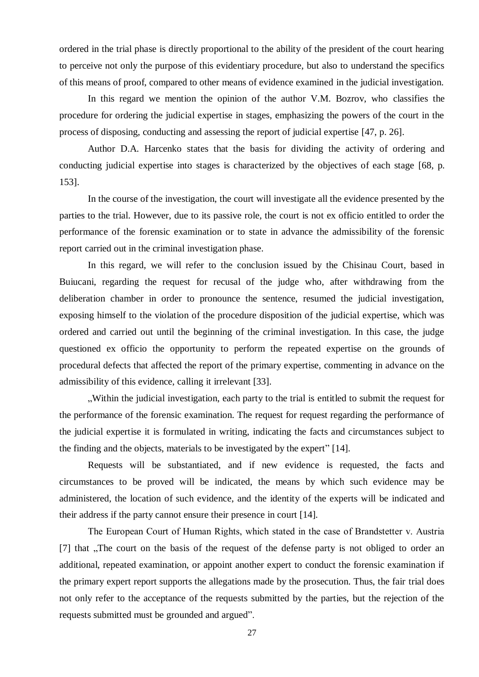ordered in the trial phase is directly proportional to the ability of the president of the court hearing to perceive not only the purpose of this evidentiary procedure, but also to understand the specifics of this means of proof, compared to other means of evidence examined in the judicial investigation.

In this regard we mention the opinion of the author V.M. Bozrov, who classifies the procedure for ordering the judicial expertise in stages, emphasizing the powers of the court in the process of disposing, conducting and assessing the report of judicial expertise [47, p. 26].

Author D.A. Harcenko states that the basis for dividing the activity of ordering and conducting judicial expertise into stages is characterized by the objectives of each stage [68, p. 153].

In the course of the investigation, the court will investigate all the evidence presented by the parties to the trial. However, due to its passive role, the court is not ex officio entitled to order the performance of the forensic examination or to state in advance the admissibility of the forensic report carried out in the criminal investigation phase.

In this regard, we will refer to the conclusion issued by the Chisinau Court, based in Buiucani, regarding the request for recusal of the judge who, after withdrawing from the deliberation chamber in order to pronounce the sentence, resumed the judicial investigation, exposing himself to the violation of the procedure disposition of the judicial expertise, which was ordered and carried out until the beginning of the criminal investigation. In this case, the judge questioned ex officio the opportunity to perform the repeated expertise on the grounds of procedural defects that affected the report of the primary expertise, commenting in advance on the admissibility of this evidence, calling it irrelevant [33].

"Within the judicial investigation, each party to the trial is entitled to submit the request for the performance of the forensic examination. The request for request regarding the performance of the judicial expertise it is formulated in writing, indicating the facts and circumstances subject to the finding and the objects, materials to be investigated by the expert" [14].

Requests will be substantiated, and if new evidence is requested, the facts and circumstances to be proved will be indicated, the means by which such evidence may be administered, the location of such evidence, and the identity of the experts will be indicated and their address if the party cannot ensure their presence in court [14].

The European Court of Human Rights, which stated in the case of Вrandstetter v. Austria [7] that "The court on the basis of the request of the defense party is not obliged to order an additional, repeated examination, or appoint another expert to conduct the forensic examination if the primary expert report supports the allegations made by the prosecution. Thus, the fair trial does not only refer to the acceptance of the requests submitted by the parties, but the rejection of the requests submitted must be grounded and argued".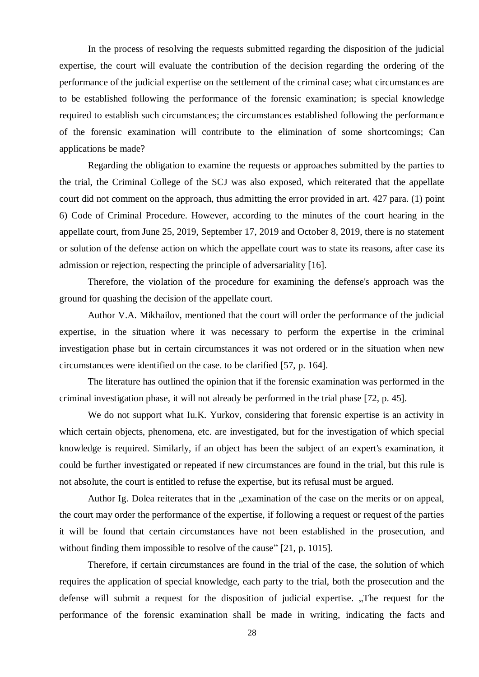In the process of resolving the requests submitted regarding the disposition of the judicial expertise, the court will evaluate the contribution of the decision regarding the ordering of the performance of the judicial expertise on the settlement of the criminal case; what circumstances are to be established following the performance of the forensic examination; is special knowledge required to establish such circumstances; the circumstances established following the performance of the forensic examination will contribute to the elimination of some shortcomings; Can applications be made?

Regarding the obligation to examine the requests or approaches submitted by the parties to the trial, the Criminal College of the SCJ was also exposed, which reiterated that the appellate court did not comment on the approach, thus admitting the error provided in art. 427 para. (1) point 6) Code of Criminal Procedure. However, according to the minutes of the court hearing in the appellate court, from June 25, 2019, September 17, 2019 and October 8, 2019, there is no statement or solution of the defense action on which the appellate court was to state its reasons, after case its admission or rejection, respecting the principle of adversariality [16].

Therefore, the violation of the procedure for examining the defense's approach was the ground for quashing the decision of the appellate court.

Author V.A. Mikhailov, mentioned that the court will order the performance of the judicial expertise, in the situation where it was necessary to perform the expertise in the criminal investigation phase but in certain circumstances it was not ordered or in the situation when new circumstances were identified on the case. to be clarified [57, p. 164].

The literature has outlined the opinion that if the forensic examination was performed in the criminal investigation phase, it will not already be performed in the trial phase [72, p. 45].

We do not support what Iu.K. Yurkov, considering that forensic expertise is an activity in which certain objects, phenomena, etc. are investigated, but for the investigation of which special knowledge is required. Similarly, if an object has been the subject of an expert's examination, it could be further investigated or repeated if new circumstances are found in the trial, but this rule is not absolute, the court is entitled to refuse the expertise, but its refusal must be argued.

Author Ig. Dolea reiterates that in the "examination of the case on the merits or on appeal, the court may order the performance of the expertise, if following a request or request of the parties it will be found that certain circumstances have not been established in the prosecution, and without finding them impossible to resolve of the cause" [21, p. 1015].

Therefore, if certain circumstances are found in the trial of the case, the solution of which requires the application of special knowledge, each party to the trial, both the prosecution and the defense will submit a request for the disposition of judicial expertise. "The request for the performance of the forensic examination shall be made in writing, indicating the facts and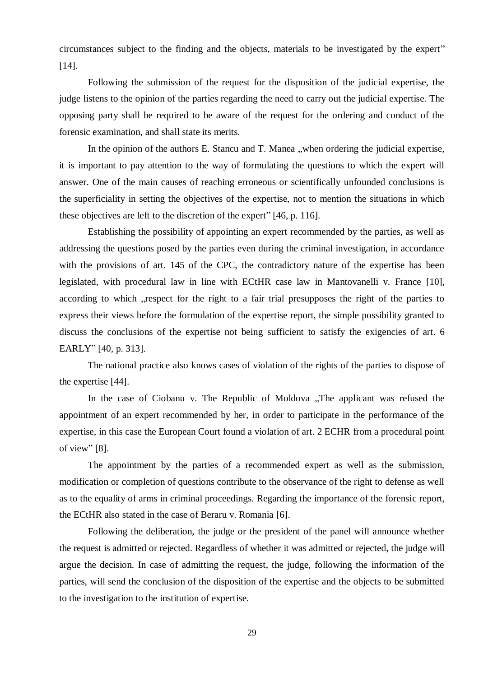circumstances subject to the finding and the objects, materials to be investigated by the expert" [14].

Following the submission of the request for the disposition of the judicial expertise, the judge listens to the opinion of the parties regarding the need to carry out the judicial expertise. The opposing party shall be required to be aware of the request for the ordering and conduct of the forensic examination, and shall state its merits.

In the opinion of the authors E. Stancu and T. Manea "when ordering the judicial expertise, it is important to pay attention to the way of formulating the questions to which the expert will answer. One of the main causes of reaching erroneous or scientifically unfounded conclusions is the superficiality in setting the objectives of the expertise, not to mention the situations in which these objectives are left to the discretion of the expert" [46, p. 116].

Establishing the possibility of appointing an expert recommended by the parties, as well as addressing the questions posed by the parties even during the criminal investigation, in accordance with the provisions of art. 145 of the CPC, the contradictory nature of the expertise has been legislated, with procedural law in line with ECtHR case law in Mantovanelli v. France [10], according to which , respect for the right to a fair trial presupposes the right of the parties to express their views before the formulation of the expertise report, the simple possibility granted to discuss the conclusions of the expertise not being sufficient to satisfy the exigencies of art. 6 EARLY" [40, p. 313].

The national practice also knows cases of violation of the rights of the parties to dispose of the expertise [44].

In the case of Ciobanu v. The Republic of Moldova "The applicant was refused the appointment of an expert recommended by her, in order to participate in the performance of the expertise, in this case the European Court found a violation of art. 2 ECHR from a procedural point of view" [8].

The appointment by the parties of a recommended expert as well as the submission, modification or completion of questions contribute to the observance of the right to defense as well as to the equality of arms in criminal proceedings. Regarding the importance of the forensic report, the ECtHR also stated in the case of Beraru v. Romania [6].

Following the deliberation, the judge or the president of the panel will announce whether the request is admitted or rejected. Regardless of whether it was admitted or rejected, the judge will argue the decision. In case of admitting the request, the judge, following the information of the parties, will send the conclusion of the disposition of the expertise and the objects to be submitted to the investigation to the institution of expertise.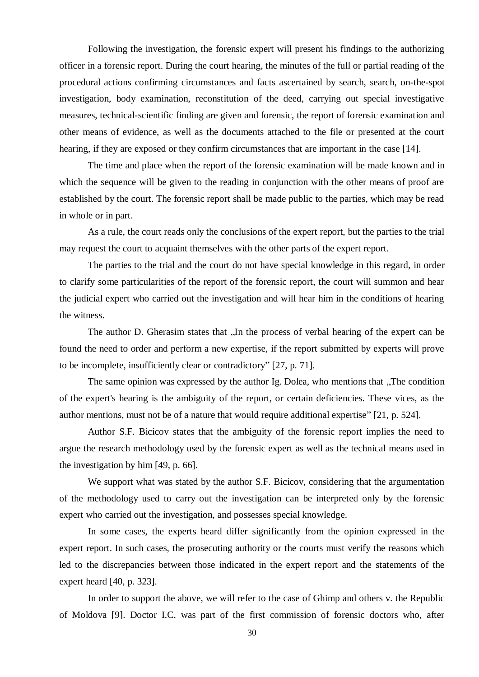Following the investigation, the forensic expert will present his findings to the authorizing officer in a forensic report. During the court hearing, the minutes of the full or partial reading of the procedural actions confirming circumstances and facts ascertained by search, search, on-the-spot investigation, body examination, reconstitution of the deed, carrying out special investigative measures, technical-scientific finding are given and forensic, the report of forensic examination and other means of evidence, as well as the documents attached to the file or presented at the court hearing, if they are exposed or they confirm circumstances that are important in the case [14].

The time and place when the report of the forensic examination will be made known and in which the sequence will be given to the reading in conjunction with the other means of proof are established by the court. The forensic report shall be made public to the parties, which may be read in whole or in part.

As a rule, the court reads only the conclusions of the expert report, but the parties to the trial may request the court to acquaint themselves with the other parts of the expert report.

The parties to the trial and the court do not have special knowledge in this regard, in order to clarify some particularities of the report of the forensic report, the court will summon and hear the judicial expert who carried out the investigation and will hear him in the conditions of hearing the witness.

The author D. Gherasim states that "In the process of verbal hearing of the expert can be found the need to order and perform a new expertise, if the report submitted by experts will prove to be incomplete, insufficiently clear or contradictory" [27, p. 71].

The same opinion was expressed by the author Ig. Dolea, who mentions that "The condition" of the expert's hearing is the ambiguity of the report, or certain deficiencies. These vices, as the author mentions, must not be of a nature that would require additional expertise" [21, p. 524].

Author S.F. Bicicov states that the ambiguity of the forensic report implies the need to argue the research methodology used by the forensic expert as well as the technical means used in the investigation by him [49, p. 66].

We support what was stated by the author S.F. Bicicov, considering that the argumentation of the methodology used to carry out the investigation can be interpreted only by the forensic expert who carried out the investigation, and possesses special knowledge.

In some cases, the experts heard differ significantly from the opinion expressed in the expert report. In such cases, the prosecuting authority or the courts must verify the reasons which led to the discrepancies between those indicated in the expert report and the statements of the expert heard [40, p. 323].

In order to support the above, we will refer to the case of Ghimp and others v. the Republic of Moldova [9]. Doctor I.C. was part of the first commission of forensic doctors who, after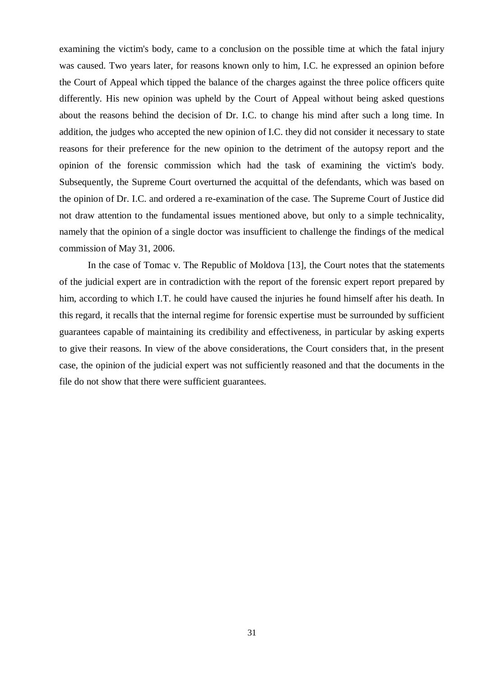examining the victim's body, came to a conclusion on the possible time at which the fatal injury was caused. Two years later, for reasons known only to him, I.C. he expressed an opinion before the Court of Appeal which tipped the balance of the charges against the three police officers quite differently. His new opinion was upheld by the Court of Appeal without being asked questions about the reasons behind the decision of Dr. I.C. to change his mind after such a long time. In addition, the judges who accepted the new opinion of I.C. they did not consider it necessary to state reasons for their preference for the new opinion to the detriment of the autopsy report and the opinion of the forensic commission which had the task of examining the victim's body. Subsequently, the Supreme Court overturned the acquittal of the defendants, which was based on the opinion of Dr. I.C. and ordered a re-examination of the case. The Supreme Court of Justice did not draw attention to the fundamental issues mentioned above, but only to a simple technicality, namely that the opinion of a single doctor was insufficient to challenge the findings of the medical commission of May 31, 2006.

In the case of Tomac v. The Republic of Moldova [13], the Court notes that the statements of the judicial expert are in contradiction with the report of the forensic expert report prepared by him, according to which I.T. he could have caused the injuries he found himself after his death. In this regard, it recalls that the internal regime for forensic expertise must be surrounded by sufficient guarantees capable of maintaining its credibility and effectiveness, in particular by asking experts to give their reasons. In view of the above considerations, the Court considers that, in the present case, the opinion of the judicial expert was not sufficiently reasoned and that the documents in the file do not show that there were sufficient guarantees.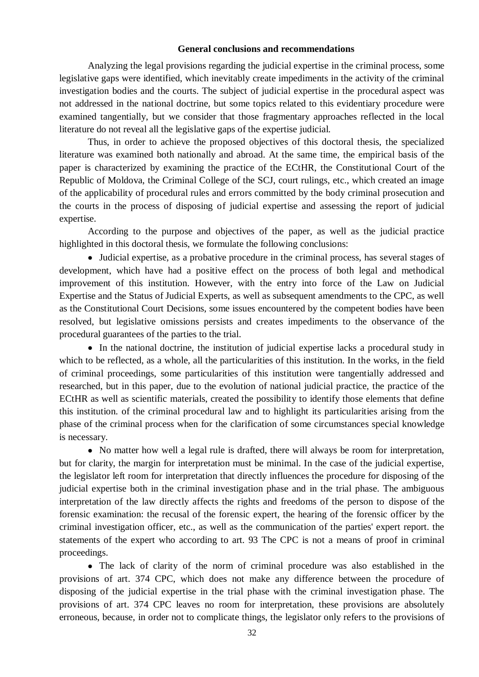## **General conclusions and recommendations**

Analyzing the legal provisions regarding the judicial expertise in the criminal process, some legislative gaps were identified, which inevitably create impediments in the activity of the criminal investigation bodies and the courts. The subject of judicial expertise in the procedural aspect was not addressed in the national doctrine, but some topics related to this evidentiary procedure were examined tangentially, but we consider that those fragmentary approaches reflected in the local literature do not reveal all the legislative gaps of the expertise judicial.

Thus, in order to achieve the proposed objectives of this doctoral thesis, the specialized literature was examined both nationally and abroad. At the same time, the empirical basis of the paper is characterized by examining the practice of the ECtHR, the Constitutional Court of the Republic of Moldova, the Criminal College of the SCJ, court rulings, etc., which created an image of the applicability of procedural rules and errors committed by the body criminal prosecution and the courts in the process of disposing of judicial expertise and assessing the report of judicial expertise.

According to the purpose and objectives of the paper, as well as the judicial practice highlighted in this doctoral thesis, we formulate the following conclusions:

 Judicial expertise, as a probative procedure in the criminal process, has several stages of development, which have had a positive effect on the process of both legal and methodical improvement of this institution. However, with the entry into force of the Law on Judicial Expertise and the Status of Judicial Experts, as well as subsequent amendments to the CPC, as well as the Constitutional Court Decisions, some issues encountered by the competent bodies have been resolved, but legislative omissions persists and creates impediments to the observance of the procedural guarantees of the parties to the trial.

 In the national doctrine, the institution of judicial expertise lacks a procedural study in which to be reflected, as a whole, all the particularities of this institution. In the works, in the field of criminal proceedings, some particularities of this institution were tangentially addressed and researched, but in this paper, due to the evolution of national judicial practice, the practice of the ECtHR as well as scientific materials, created the possibility to identify those elements that define this institution. of the criminal procedural law and to highlight its particularities arising from the phase of the criminal process when for the clarification of some circumstances special knowledge is necessary.

• No matter how well a legal rule is drafted, there will always be room for interpretation, but for clarity, the margin for interpretation must be minimal. In the case of the judicial expertise, the legislator left room for interpretation that directly influences the procedure for disposing of the judicial expertise both in the criminal investigation phase and in the trial phase. The ambiguous interpretation of the law directly affects the rights and freedoms of the person to dispose of the forensic examination: the recusal of the forensic expert, the hearing of the forensic officer by the criminal investigation officer, etc., as well as the communication of the parties' expert report. the statements of the expert who according to art. 93 The CPC is not a means of proof in criminal proceedings.

 The lack of clarity of the norm of criminal procedure was also established in the provisions of art. 374 CPC, which does not make any difference between the procedure of disposing of the judicial expertise in the trial phase with the criminal investigation phase. The provisions of art. 374 CPC leaves no room for interpretation, these provisions are absolutely erroneous, because, in order not to complicate things, the legislator only refers to the provisions of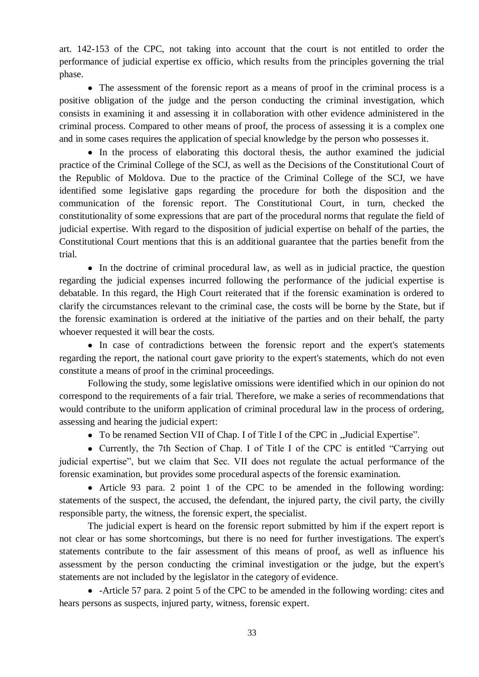art. 142-153 of the CPC, not taking into account that the court is not entitled to order the performance of judicial expertise ex officio, which results from the principles governing the trial phase.

• The assessment of the forensic report as a means of proof in the criminal process is a positive obligation of the judge and the person conducting the criminal investigation, which consists in examining it and assessing it in collaboration with other evidence administered in the criminal process. Compared to other means of proof, the process of assessing it is a complex one and in some cases requires the application of special knowledge by the person who possesses it.

• In the process of elaborating this doctoral thesis, the author examined the judicial practice of the Criminal College of the SCJ, as well as the Decisions of the Constitutional Court of the Republic of Moldova. Due to the practice of the Criminal College of the SCJ, we have identified some legislative gaps regarding the procedure for both the disposition and the communication of the forensic report. The Constitutional Court, in turn, checked the constitutionality of some expressions that are part of the procedural norms that regulate the field of judicial expertise. With regard to the disposition of judicial expertise on behalf of the parties, the Constitutional Court mentions that this is an additional guarantee that the parties benefit from the trial.

• In the doctrine of criminal procedural law, as well as in judicial practice, the question regarding the judicial expenses incurred following the performance of the judicial expertise is debatable. In this regard, the High Court reiterated that if the forensic examination is ordered to clarify the circumstances relevant to the criminal case, the costs will be borne by the State, but if the forensic examination is ordered at the initiative of the parties and on their behalf, the party whoever requested it will bear the costs.

 In case of contradictions between the forensic report and the expert's statements regarding the report, the national court gave priority to the expert's statements, which do not even constitute a means of proof in the criminal proceedings.

Following the study, some legislative omissions were identified which in our opinion do not correspond to the requirements of a fair trial. Therefore, we make a series of recommendations that would contribute to the uniform application of criminal procedural law in the process of ordering, assessing and hearing the judicial expert:

• To be renamed Section VII of Chap. I of Title I of the CPC in "Judicial Expertise".

• Currently, the 7th Section of Chap. I of Title I of the CPC is entitled "Carrying out judicial expertise", but we claim that Sec. VII does not regulate the actual performance of the forensic examination, but provides some procedural aspects of the forensic examination.

 Article 93 para. 2 point 1 of the CPC to be amended in the following wording: statements of the suspect, the accused, the defendant, the injured party, the civil party, the civilly responsible party, the witness, the forensic expert, the specialist.

The judicial expert is heard on the forensic report submitted by him if the expert report is not clear or has some shortcomings, but there is no need for further investigations. The expert's statements contribute to the fair assessment of this means of proof, as well as influence his assessment by the person conducting the criminal investigation or the judge, but the expert's statements are not included by the legislator in the category of evidence.

 -Article 57 para. 2 point 5 of the CPC to be amended in the following wording: cites and hears persons as suspects, injured party, witness, forensic expert.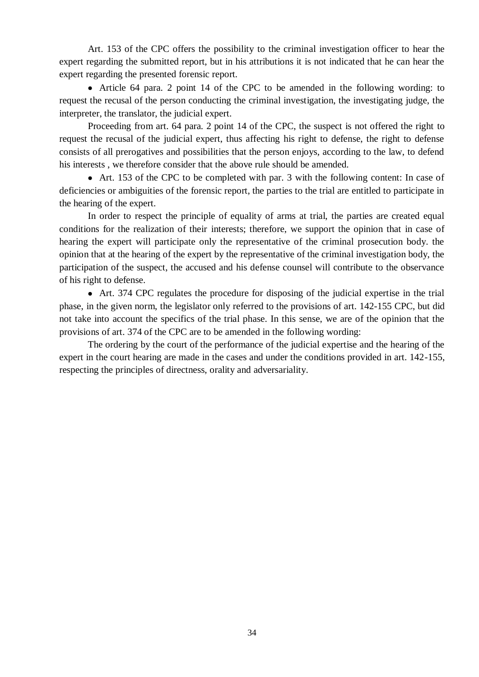Art. 153 of the CPC offers the possibility to the criminal investigation officer to hear the expert regarding the submitted report, but in his attributions it is not indicated that he can hear the expert regarding the presented forensic report.

 Article 64 para. 2 point 14 of the CPC to be amended in the following wording: to request the recusal of the person conducting the criminal investigation, the investigating judge, the interpreter, the translator, the judicial expert.

Proceeding from art. 64 para. 2 point 14 of the CPC, the suspect is not offered the right to request the recusal of the judicial expert, thus affecting his right to defense, the right to defense consists of all prerogatives and possibilities that the person enjoys, according to the law, to defend his interests , we therefore consider that the above rule should be amended.

 Art. 153 of the CPC to be completed with par. 3 with the following content: In case of deficiencies or ambiguities of the forensic report, the parties to the trial are entitled to participate in the hearing of the expert.

In order to respect the principle of equality of arms at trial, the parties are created equal conditions for the realization of their interests; therefore, we support the opinion that in case of hearing the expert will participate only the representative of the criminal prosecution body. the opinion that at the hearing of the expert by the representative of the criminal investigation body, the participation of the suspect, the accused and his defense counsel will contribute to the observance of his right to defense.

 Art. 374 CPC regulates the procedure for disposing of the judicial expertise in the trial phase, in the given norm, the legislator only referred to the provisions of art. 142-155 CPC, but did not take into account the specifics of the trial phase. In this sense, we are of the opinion that the provisions of art. 374 of the CPC are to be amended in the following wording:

The ordering by the court of the performance of the judicial expertise and the hearing of the expert in the court hearing are made in the cases and under the conditions provided in art. 142-155, respecting the principles of directness, orality and adversariality.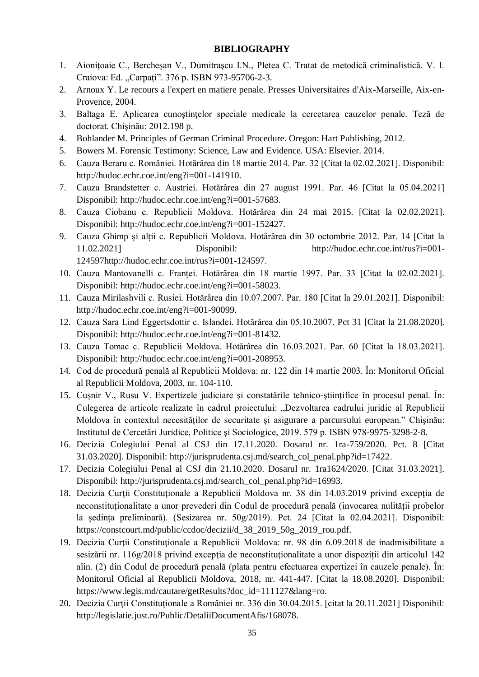## **BIBLIOGRAPHY**

- 1. Aioniţoaie C., Bercheşan V., Dumitraşcu I.N., Pletea C. Tratat de metodică criminalistică. V. I. Craiova: Ed. "Carpați". 376 p. ISBN 973-95706-2-3.
- 2. Arnoux Y. Le recours a l'expert en matiere penale. Presses Universitaires d'Aix-Marseille, Aix-en-Provence, 2004.
- 3. Baltaga E. Aplicarea cunoştinţelor speciale medicale la cercetarea cauzelor penale. Teză de doctorat. Chişinău: 2012.198 p.
- 4. Bohlander M. Principles of German Criminal Procedure. Oregon: Hart Publishing, 2012.
- 5. Bowers M. Forensic Testimony: Science, Law and Evidence. USA: Elsevier. 2014.
- 6. Cauza Beraru c. României. Hotărârea din 18 martie 2014. Par. 32 [Citat la 02.02.2021]. Disponibil: [http://hudoc.echr.coe.int/eng?i=001-141910.](http://hudoc.echr.coe.int/eng?i=001-141910)
- 7. Cauza Brandstetter c. Austriei. Hotărârea din 27 august 1991. Par. 46 [Citat la 05.04.2021] Disponibil: [http://hudoc.echr.coe.int/eng?i=001-57683.](http://hudoc.echr.coe.int/eng?i=001-57683)
- 8. Cauza Ciobanu c. Republicii Moldova. Hotărârea din 24 mai 2015. [Citat la 02.02.2021]. Disponibil: [http://hudoc.echr.coe.int/eng?i=001-152427.](http://hudoc.echr.coe.int/eng?i=001-152427)
- 9. Cauza Ghimp și alții c. Republicii Moldova. Hotărârea din 30 octombrie 2012. Par. 14 [Citat la 11.02.2021] Disponibil: [http://hudoc.echr.coe.int/rus?i=001-](http://hudoc.echr.coe.int/rus?i=001-124597http://hudoc.echr.coe.int/rus?i=001-124597) [124597http://hudoc.echr.coe.int/rus?i=001-124597.](http://hudoc.echr.coe.int/rus?i=001-124597http://hudoc.echr.coe.int/rus?i=001-124597)
- 10. Cauza Mantovanelli c. Franței. Hotărârea din 18 martie 1997. Par. 33 [Citat la 02.02.2021]. Disponibil: [http://hudoc.echr.coe.int/eng?i=001-58023.](http://hudoc.echr.coe.int/eng?i=001-58023)
- 11. Cauza Mirilashvili c. Rusiei. Hotărârea din 10.07.2007. Par. 180 [Citat la 29.01.2021]. Disponibil: [http://hudoc.echr.coe.int/eng?i=001-90099.](http://hudoc.echr.coe.int/eng?i=001-90099)
- 12. Cauza Sara Lind Eggertsdottir c. Islandei. Hotărârea din 05.10.2007. Pct 31 [Citat la 21.08.2020]. Disponibil: [http://hudoc.echr.coe.int/eng?i=001-81432.](http://hudoc.echr.coe.int/eng?i=001-81432)
- 13. Cauza Tomac c. Republicii Moldova. Hotărârea din 16.03.2021. Par. 60 [Citat la 18.03.2021]. Disponibil: [http://hudoc.echr.coe.int/eng?i=001-208953.](http://hudoc.echr.coe.int/eng?i=001-208953)
- 14. Cod de procedură penală al Republicii Moldova: nr. 122 din 14 martie 2003. În: Monitorul Oficial al Republicii Moldova, 2003, nr. 104-110.
- 15. Cușnir V., Rusu V. Expertizele judiciare și constatările tehnico-științifice în procesul penal. În: Culegerea de articole realizate în cadrul proiectului: "Dezvoltarea cadrului juridic al Republicii Moldova în contextul necesităților de securitate și asigurare a parcursului european." Chişinău: Institutul de Cercetări Juridice, Politice şi Sociologice, 2019. 579 p. ISBN 978-9975-3298-2-8.
- 16. Decizia Colegiului Penal al CSJ din 17.11.2020. Dosarul nr. 1ra-759/2020. Pct. 8 [Citat 31.03.2020]. Disponibil: [http://jurisprudenta.csj.md/search\\_col\\_penal.php?id=17422.](http://jurisprudenta.csj.md/search_col_penal.php?id=17422)
- 17. Decizia Colegiului Penal al CSJ din 21.10.2020. Dosarul nr. 1ra1624/2020. [Citat 31.03.2021]. Disponibil: [http://jurisprudenta.csj.md/search\\_col\\_penal.php?id=16993.](http://jurisprudenta.csj.md/search_col_penal.php?id=16993)
- 18. Decizia Curţii Constituţionale a Republicii Moldova nr. 38 din 14.03.2019 privind excepţia de neconstituționalitate a unor prevederi din Codul de procedură penală (invocarea nulității probelor la ședința preliminară). (Sesizarea nr. 50g/2019). Pct. 24 [Citat la 02.04.2021]. Disponibil: [https://constcourt.md/public/ccdoc/decizii/d\\_38\\_2019\\_50g\\_2019\\_rou.pdf.](https://constcourt.md/public/ccdoc/decizii/d_38_2019_50g_2019_rou.pdf)
- 19. Decizia Curţii Constituţionale a Republicii Moldova: nr. 98 din 6.09.2018 de inadmisibilitate a sesizării nr. 116g/2018 privind excepția de neconstituționalitate a unor dispoziții din articolul 142 alin. (2) din Codul de procedură penală (plata pentru efectuarea expertizei în cauzele penale). În: Monitorul Oficial al Republicii Moldova, 2018, nr. 441-447. [Citat la 18.08.2020]. Disponibil: [https://www.legis.md/cautare/getResults?doc\\_id=111127&lang=ro.](https://www.legis.md/cautare/getResults?doc_id=111127&lang=ro)
- 20. Decizia Curţii Constituţionale a României nr. 336 din 30.04.2015. [citat la 20.11.2021] Disponibil: [http://legislatie.just.ro/Public/DetaliiDocumentAfis/168078.](http://legislatie.just.ro/Public/DetaliiDocumentAfis/168078)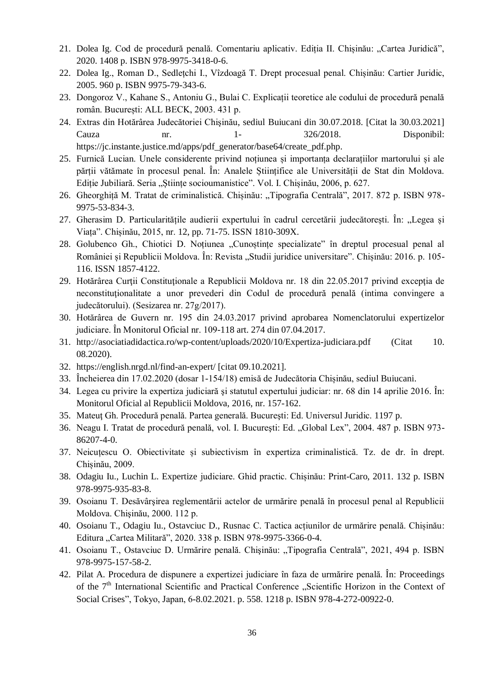- 21. Dolea Ig. Cod de procedură penală. Comentariu aplicativ. Ediția II. Chișinău: "Cartea Juridică", 2020. 1408 p. ISBN 978-9975-3418-0-6.
- 22. Dolea Ig., Roman D., Sedlețchi I., Vîzdoagă T. Drept procesual penal. Chișinău: Cartier Juridic, 2005. 960 p. ISBN 9975-79-343-6.
- 23. Dongoroz V., Kahane S., Antoniu G., Bulai C. Explicații teoretice ale codului de procedură penală român. București: ALL BECK, 2003. 431 p.
- 24. Extras din Hotărârea Judecătoriei Chişinău, sediul Buiucani din 30.07.2018. [Citat la 30.03.2021] Cauza nr. 1- 326/2018. Disponibil: [https://jc.instante.justice.md/apps/pdf\\_generator/base64/create\\_pdf.php.](https://jc.instante.justice.md/apps/pdf_generator/base64/create_pdf.php)
- 25. Furnică Lucian. Unele considerente privind noțiunea și importanța declarațiilor martorului și ale părții vătămate în procesul penal. În: Analele Științifice ale Universității de Stat din Moldova. Ediție Jubiliară. Seria "Științe socioumanistice". Vol. I. Chișinău, 2006, p. 627.
- 26. Gheorghiță M. Tratat de criminalistică. Chișinău: "Tipografia Centrală", 2017. 872 p. ISBN 978-9975-53-834-3.
- 27. Gherasim D. Particularitățile audierii expertului în cadrul cercetării judecătorești. În: "Legea și Viața". Chișinău, 2015, nr. 12, pp. 71-75. ISSN 1810-309X.
- 28. Golubenco Gh., Chiotici D. Noțiunea "Cunoștințe specializate" în dreptul procesual penal al României și Republicii Moldova. În: Revista "Studii juridice universitare". Chișinău: 2016. p. 105-116. ISSN 1857-4122.
- 29. Hotărârea Curţii Constituţionale a Republicii Moldova nr. 18 din 22.05.2017 privind excepţia de neconstituţionalitate a unor prevederi din Codul de procedură penală (intima convingere a judecătorului). (Sesizarea nr. 27g/2017).
- 30. Hotărârea de Guvern nr. 195 din 24.03.2017 privind aprobarea Nomenclatorului expertizelor judiciare. În Monitorul Oficial nr. 109-118 art. 274 din 07.04.2017.
- 31. <http://asociatiadidactica.ro/wp-content/uploads/2020/10/Expertiza-judiciara.pdf> (Citat 10. 08.2020).
- 32. <https://english.nrgd.nl/find-an-expert/> [citat 09.10.2021].
- 33. Încheierea din 17.02.2020 (dosar 1-154/18) emisă de Judecătoria Chișinău, sediul Buiucani.
- 34. Legea cu privire la expertiza judiciară şi statutul expertului judiciar: nr. 68 din 14 aprilie 2016. În: Monitorul Oficial al Republicii Moldova, 2016, nr. 157-162.
- 35. Mateuţ Gh. Procedură penală. Partea generală. Bucureşti: Ed. Universul Juridic. 1197 p.
- 36. Neagu I. Tratat de procedură penală, vol. I. Bucureşti: Ed. "Global Lex", 2004. 487 p. ISBN 973- 86207-4-0.
- 37. Neicuțescu O. Obiectivitate și subiectivism în expertiza criminalistică. Tz. de dr. în drept. Chișinău, 2009.
- 38. Odagiu Iu., Luchin L. Expertize judiciare. Ghid practic. Chișinău: Print-Caro, 2011. 132 p. ISBN 978-9975-935-83-8.
- 39. Osoianu T. Desăvârşirea reglementării actelor de urmărire penală în procesul penal al Republicii Moldova. Chişinău, 2000. 112 p.
- 40. Osoianu T., Odagiu Iu., Ostavciuc D., Rusnac C. Tactica acțiunilor de urmărire penală. Chișinău: Editura "Cartea Militară", 2020. 338 p. ISBN 978-9975-3366-0-4.
- 41. Osoianu T., Ostavciuc D. Urmărire penală. Chișinău: "Tipografia Centrală", 2021, 494 p. ISBN 978-9975-157-58-2.
- 42. Pilat A. Procedura de dispunere a expertizei judiciare în faza de urmărire penală. În: Proceedings of the 7<sup>th</sup> International Scientific and Practical Conference "Scientific Horizon in the Context of Social Crises", Tokyo, Japan, 6-8.02.2021. p. 558. 1218 p. ISBN 978-4-272-00922-0.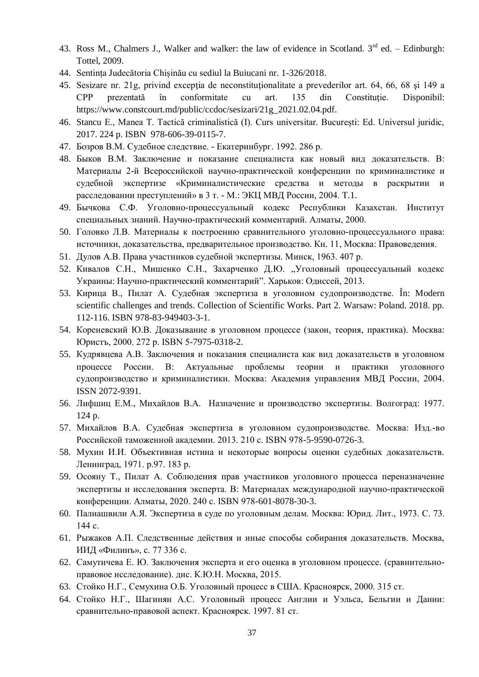- 43. Ross M., Chalmers J., Walker and walker: the law of evidence in Scotland.  $3<sup>rd</sup>$  ed. Edinburgh: Tottel, 2009.
- 44. Sentința Judecătoria Chișinău cu sediul la Buiucani nr. 1-326/2018.
- 45. Sesizare nr. 21g, privind excepţia de neconstituţionalitate a prevederilor art. 64, 66, 68 şi 149 a CPP prezentată în conformitate cu art. 135 din Constituţie. Disponibil: [https://www.constcourt.md/public/ccdoc/sesizari/21g\\_2021.02.04.pdf.](https://www.constcourt.md/public/ccdoc/sesizari/21g_2021.02.04.pdf)
- 46. Stancu E., Manea T. Tactică criminalistică (I). Curs universitar. București: Ed. Universul juridic, 2017. 224 p. ISBN 978-606-39-0115-7.
- 47. Бозров В.М. Судебное следствие. Екатеринбург. 1992. 286 p.
- 48. Быков В.М. Заключение и показание специалиста как новый вид доказательств. В: Материалы 2-й Всероссийской научно-практической конференции по криминалистике и судебной экспертизе «Криминалистические средства и методы в раскрытии и расследовании преступлений» в 3 т. - М.: ЭКЦ МВД России, 2004. Т.1.
- 49. Бычкова С.Ф. Уголовно-процессуальный кодекс Республики Казахстан. Институт специальных знаний. Научно-практический комментарий. Алматы, 2000.
- 50. Головко Л.В. Материалы к построению сравнительного уголовно-процессуального права: источники, доказательства, предварительное производство. Кн. 11, Москва: Правоведения.
- 51. Дулов А.В. Права участников судебной экспертизы. Минск, 1963. 407 p.
- 52. Кивалов С.Н., Мишенко С.Н., Захарченко Д.Ю. "Уголовный процессуальный кодекс Украины: Научно-практический комментарий". Харьков: Одиссей, 2013.
- 53. Кирица В., Пилат А. Судебная экспертиза в уголовном судопроизводстве. În: Modern scientific challenges and trends. Collection of Scientific Works. Part 2. Warsaw: Poland. 2018. pp. 112-116. ISBN 978-83-949403-3-1.
- 54. Кореневский Ю.В. Доказывание в уголовном процессе (закон, теория, практика). Москва: Юристъ, 2000. 272 p. ISBN 5-7975-0318-2.
- 55. Кудрявцева А.В. Заключения и показания специалиста как вид доказательств в уголовном процессе России. В: Актуальные проблемы теории и практики уголовного судопроизводство и криминалистики. Москва: Академия управления МВД России, 2004. ISSN 2072-9391.
- 56. Лифшиц Е.М., Михайлов В.А. Назначение и производство экспертизы. Волгоград: 1977. 124 p.
- 57. Михайлов В.А. Судебная экспертиза в уголовном судопроизводстве. Москва: Изд.-во Российской таможенной академии. 2013. 210 с. ISBN 978-5-9590-0726-3.
- 58. Мухин И.И. Объективная истина и некоторые вопросы оценки судебных доказательств. Ленинград, 1971. p.97. 183 p.
- 59. Осояну Т., Пилат А. Соблюдения прав участников уголовного процесса переназначение экспертизы и исследования эксперта. В: Материалах международной научно-практической конференции. Алматы, 2020. 240 с. ISBN 978-601-8078-30-3.
- 60. Палиашвили А.Я. Экспертиза в суде по уголовным делам. Москва: Юрид. Лит., 1973. C. 73. 144 с.
- 61. Рыжаков А.П. Следственные действия и иные способы собирания доказательств. Москва, ИИД «Филинъ», с. 77 336 с.
- 62. Самутичева Е. Ю. Заключения эксперта и его оценка в уголовном процессе. (сравнительноправовое исследование). дис. К.Ю.Н. Москва, 2015.
- 63. Стойко Н.Г., Семухина О.Б. Уголовный процесс в США. Красноярск, 2000. 315 ст.
- 64. Стойко Н.Г., Шагинян А.С. Уголовный процесс Англии и Уэльса, Бельгии и Дании: сравнительно-правовой аспект. Красноярск. 1997. 81 ст.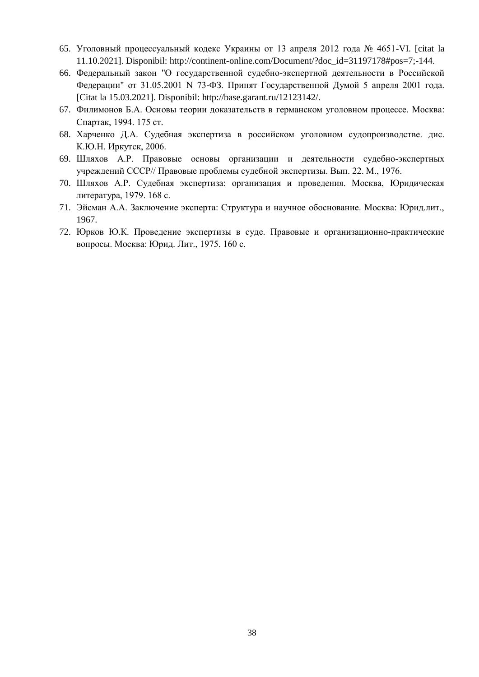- 65. Уголовный процессуальный кодекс Украины от 13 апреля 2012 года № 4651-VI. [citat la 11.10.2021]. Disponibil: [http://continent-online.com/Document/?doc\\_id=31197178#pos=7;-144.](http://continent-online.com/Document/?doc_id=31197178#pos=7;-144)
- 66. Федеральный закон "О государственной судебно-экспертной деятельности в Российской Федерации" от 31.05.2001 N 73-ФЗ. Принят Государственной Думой 5 апреля 2001 года. [Citat la 15.03.2021]. Disponibil: [http://base.garant.ru/12123142/.](http://base.garant.ru/12123142/)
- 67. Филимонов Б.А. Основы теории доказательств в германском уголовном процессе. Москва: Спартак, 1994. 175 ст.
- 68. Харченко Д.А. Судебная экспертиза в российском уголовном судопроизводстве. дис. К.Ю.Н. Иркутск, 2006.
- 69. Шляхов А.Р. Правовые основы организации и деятельности судебно-экспертных учреждений СССР// Правовые проблемы судебной экспертизы. Вып. 22. М., 1976.
- 70. Шляхов А.Р. Судебная экспертиза: организация и проведения. Москва, Юридическая литература, 1979. 168 с.
- 71. Эйсман А.А. Заключение эксперта: Структура и научное обоснование. Москва: Юрид.лит., 1967.
- 72. Юрков Ю.К. Проведение экспертизы в суде. Правовые и организационно-практические вопросы. Москва: Юрид. Лит., 1975. 160 с.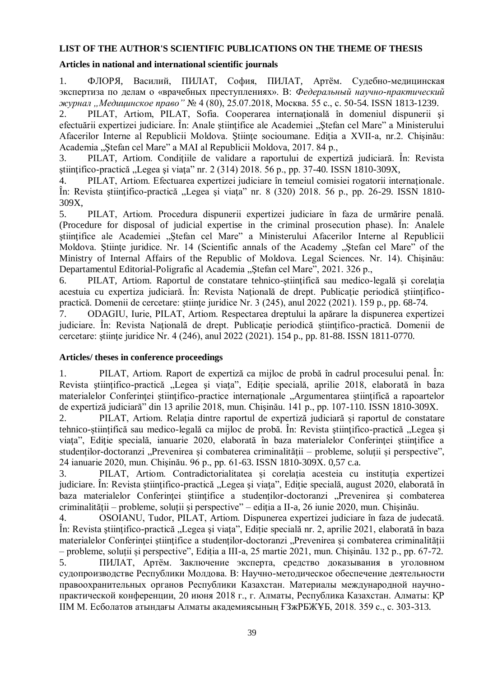## **LIST OF THE AUTHOR'S SCIENTIFIC PUBLICATIONS ON THE THEME OF THESIS**

#### **Articles in national and international scientific journals**

1. ФЛОРЯ, Василий, ПИЛАТ, София, ПИЛАТ, Артём. Судебно-медицинская экспертиза по делам о «врачебных преступлениях». В: *Федеральный научно-практический журнал "Медицинское право"* № 4 (80), 25.07.2018, Москва. 55 c., c. 50-54. ISSN 1813-1239.

2. PILAT, Artiom, PILAT, Sofia. Cooperarea internaţională în domeniul dispunerii şi efectuării expertizei judiciare. În: Anale științifice ale Academiei "Stefan cel Mare" a Ministerului Afacerilor Interne al Republicii Moldova. Științe socioumane. Ediția a XVII-a, nr.2. Chișinău: Academia "Stefan cel Mare" a MAI al Republicii Moldova, 2017. 84 p.,

3. PILAT, Artiom. Condiţiile de validare a raportului de expertiză judiciară. În: Revista științifico-practică "Legea și viața" nr. 2 (314) 2018. 56 p., pp. 37-40. ISSN 1810-309X,

4. PILAT, Artiom. Efectuarea expertizei judiciare în temeiul comisiei rogatorii internationale. În: Revista științifico-practică "Legea și viața" nr. 8 (320) 2018. 56 p., pp. 26-29. ISSN 1810-309X,

5. PILAT, Artiom. Procedura dispunerii expertizei judiciare în faza de urmărire penală. (Procedure for disposal of judicial expertise in the criminal prosecution phase). În: Analele stiintifice ale Academiei "Stefan cel Mare" a Ministerului Afacerilor Interne al Republicii Moldova. Stiințe juridice. Nr. 14 (Scientific annals of the Academy "Ștefan cel Mare" of the Ministry of Internal Affairs of the Republic of Moldova. Legal Sciences. Nr. 14). Chişinău: Departamentul Editorial-Poligrafic al Academia "Stefan cel Mare", 2021. 326 p.,

6. PILAT, Artiom. Raportul de constatare tehnico-ştiinţifică sau medico-legală şi corelaţia acestuia cu expertiza judiciară. În: Revista Naţională de drept. Publicaţie periodică ştiinţificopractică. Domenii de cercetare: ştiinţe juridice Nr. 3 (245), anul 2022 (2021). 159 p., pp. 68-74.

7. ODAGIU, Iurie, PILAT, Artiom. Respectarea dreptului la apărare la dispunerea expertizei judiciare. În: Revista Naţională de drept. Publicaţie periodică ştiinţifico-practică. Domenii de cercetare: stiinte juridice Nr. 4 (246), anul 2022 (2021). 154 p., pp. 81-88. ISSN 1811-0770.

## **Articles/ theses in conference proceedings**

1. PILAT, Artiom. Raport de expertiză ca mijloc de probă în cadrul procesului penal. În: Revista științifico-practică "Legea și viața", Ediție specială, aprilie 2018, elaborată în baza materialelor Conferintei științifico-practice internaționale "Argumentarea științifică a rapoartelor de expertiză judiciară" din 13 aprilie 2018, mun. Chişinău. 141 p., pp. 107-110. ISSN 1810-309X.

2. PILAT, Artiom. Relația dintre raportul de expertiză judiciară și raportul de constatare tehnico-științifică sau medico-legală ca mijloc de probă. În: Revista științifico-practică "Legea și viața", Ediție specială, ianuarie 2020, elaborată în baza materialelor Conferinței științifice a studenților-doctoranzi "Prevenirea și combaterea criminalității – probleme, soluții și perspective", 24 ianuarie 2020, mun. Chişinău. 96 p., pp. 61-63. ISSN 1810-309X. 0,57 c.a.

3. PILAT, Artiom. Contradictorialitatea și corelația acesteia cu instituția expertizei judiciare. În: Revista științifico-practică "Legea și viața", Ediție specială, august 2020, elaborată în baza materialelor Conferinței științifice a studenților-doctoranzi "Prevenirea și combaterea criminalității – probleme, soluții și perspective" – ediția a II-a, 26 iunie 2020, mun. Chişinău.

4. OSOIANU, Tudor, PILAT, Artiom. Dispunerea expertizei judiciare în faza de judecată. În: Revista științifico-practică "Legea și viața", Ediție specială nr. 2, aprilie 2021, elaborată în baza materialelor Conferinței științifice a studenților-doctoranzi "Prevenirea și combaterea criminalității – probleme, soluții și perspective", Ediția a III-a, 25 martie 2021, mun. Chişinău. 132 p., pp. 67-72.

5. ПИЛАТ, Артём. Заключение эксперта, средство доказывания в уголовном судопроизводстве Республики Молдова. В: Научно-методическое обеспечение деятельности правоохранительных органов Республики Казахстан. Материалы международной научнопрактической конференции, 20 июня 2018 г., г. Алматы, Республика Казахстан. Алматы: ҚР ІІМ М. Есболатов атындағы Алматы академиясының ҒЗжРБЖҰБ, 2018. 359 с., с. 303-313.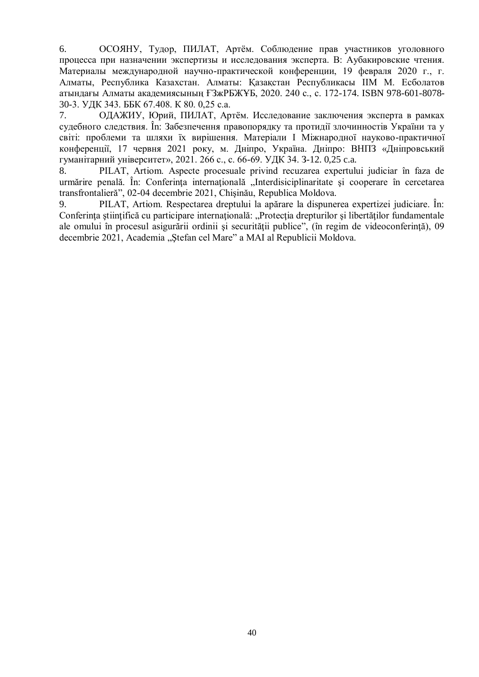6. ОСОЯНУ, Тудор, ПИЛАТ, Артём. Соблюдение прав участников уголовного процесса при назначении экспертизы и исследования эксперта. В: Аубакировские чтения. Материалы международной научно-практической конференции, 19 февраля 2020 г., г. Алматы, Республика Казахстан. Алматы: Қазақстан Республикасы ІІМ М. Есболатов атындағы Алматы академиясының ҒЗжРБЖҰБ, 2020. 240 с., с. 172-174. ISBN 978-601-8078- 30-3. УДК 343. ББК 67.408. К 80. 0,25 c.a.

7. ОДАЖИУ, Юрий, ПИЛАТ, Артём. Исследование заключения эксперта в рамках судебного следствия. În: Забезпечення правопорядку та протидії злочинностiв України та у свiтi: проблеми та шляхи їх вирішення. Матеріали І Міжнародної науково-практичної конференції, 17 червня 2021 року, м. Дніпро, Україна. Дніпро: ВНПЗ «Дніпровський гуманітарний університет», 2021. 266 с., c. 66-69. УДК 34. З-12. 0,25 c.a.

8. PILAT, Artiom. Aspecte procesuale privind recuzarea expertului judiciar în faza de urmărire penală. În: Conferința internațională "Interdisiciplinaritate și cooperare în cercetarea transfrontalieră", 02-04 decembrie 2021, Chişinău, Republica Moldova.

9. PILAT, Artiom. Respectarea dreptului la apărare la dispunerea expertizei judiciare. În: Conferința științifică cu participare internațională: "Protecția drepturilor și libertăților fundamentale ale omului în procesul asigurării ordinii şi securităţii publice", (în regim de videoconferinţă), 09 decembrie 2021, Academia "Ștefan cel Mare" a MAI al Republicii Moldova.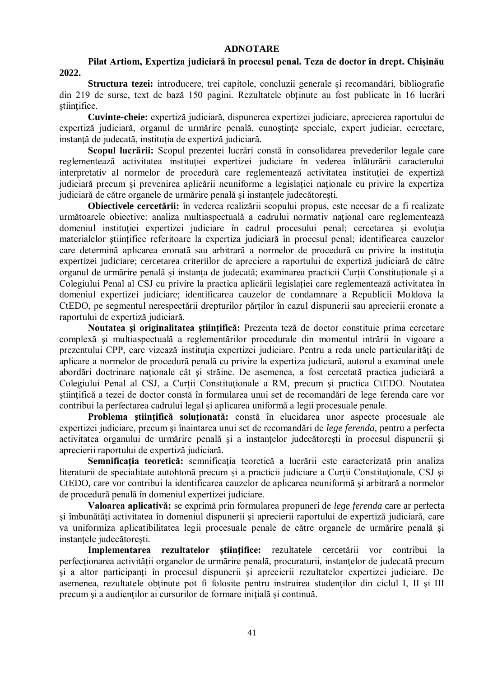#### **ADNOTARE**

## **Pilat Artiom, Expertiza judiciară în procesul penal. Teza de doctor în drept. Chişinău 2022.**

**Structura tezei:** introducere, trei capitole, concluzii generale şi recomandări, bibliografie din 219 de surse, text de bază 150 pagini. Rezultatele obţinute au fost publicate în 16 lucrări stiintifice.

**Cuvinte-cheie:** expertiză judiciară, dispunerea expertizei judiciare, aprecierea raportului de expertiză judiciară, organul de urmărire penală, cunoștințe speciale, expert judiciar, cercetare, instanță de judecată, instituția de expertiză judiciară.

**Scopul lucrării:** Scopul prezentei lucrări constă în consolidarea prevederilor legale care reglementează activitatea instituţiei expertizei judiciare în vederea înlăturării caracterului interpretativ al normelor de procedură care reglementează activitatea instituţiei de expertiză judiciară precum şi prevenirea aplicării neuniforme a legislaţiei naţionale cu privire la expertiza judiciară de către organele de urmărire penală și instanțele judecătorești.

**Obiectivele cercetării:** în vederea realizării scopului propus, este necesar de a fi realizate următoarele obiective: analiza multiaspectuală a cadrului normativ national care reglementează domeniul instituției expertizei judiciare în cadrul procesului penal; cercetarea și evoluția materialelor ştiinţifice referitoare la expertiza judiciară în procesul penal; identificarea cauzelor care determină aplicarea eronată sau arbitrară a normelor de procedură cu privire la instituţia expertizei judiciare; cercetarea criteriilor de apreciere a raportului de expertiză judiciară de către organul de urmărire penală și instanța de judecată; examinarea practicii Curții Constituționale și a Colegiului Penal al CSJ cu privire la practica aplicării legislației care reglementează activitatea în domeniul expertizei judiciare; identificarea cauzelor de condamnare a Republicii Moldova la CtEDO, pe segmentul nerespectării drepturilor părţilor în cazul dispunerii sau aprecierii eronate a raportului de expertiză judiciară.

**Noutatea şi originalitatea ştiinţifică:** Prezenta teză de doctor constituie prima cercetare complexă şi multiaspectuală a reglementărilor procedurale din momentul intrării în vigoare a prezentului CPP, care vizează instituţia expertizei judiciare. Pentru a reda unele particularităţi de aplicare a normelor de procedură penală cu privire la expertiza judiciară, autorul a examinat unele abordări doctrinare naţionale cât şi străine. De asemenea, a fost cercetată practica judiciară a Colegiului Penal al CSJ, a Curtii Constitutionale a RM, precum și practica CtEDO. Noutatea ştiinţifică a tezei de doctor constă în formularea unui set de recomandări de lege ferenda care vor contribui la perfectarea cadrului legal şi aplicarea uniformă a legii procesuale penale.

**Problema ştiinţifică soluţionată:** constă în elucidarea unor aspecte procesuale ale expertizei judiciare, precum şi înaintarea unui set de recomandări de *lege ferenda*, pentru a perfecta activitatea organului de urmărire penală și a instanțelor judecătorești în procesul dispunerii și aprecierii raportului de expertiză judiciară.

**Semnificaţia teoretică:** semnificaţia teoretică a lucrării este caracterizată prin analiza literaturii de specialitate autohtonă precum și a practicii judiciare a Curții Constituționale, CSJ și CtEDO, care vor contribui la identificarea cauzelor de aplicarea neuniformă şi arbitrară a normelor de procedură penală în domeniul expertizei judiciare.

**Valoarea aplicativă:** se exprimă prin formularea propuneri de *lege ferenda* care ar perfecta şi îmbunătăţi activitatea în domeniul dispunerii şi aprecierii raportului de expertiză judiciară, care va uniformiza aplicatibilitatea legii procesuale penale de către organele de urmărire penală şi instanţele judecătoreşti.

**Implementarea rezultatelor stiintifice:** rezultatele cercetării vor contribui la perfectionarea activității organelor de urmărire penală, procuraturii, instanțelor de judecată precum şi a altor participanţi în procesul dispunerii şi aprecierii rezultatelor expertizei judiciare. De asemenea, rezultatele obţinute pot fi folosite pentru instruirea studenţilor din ciclul I, II şi III precum și a audienților ai cursurilor de formare inițială și continuă.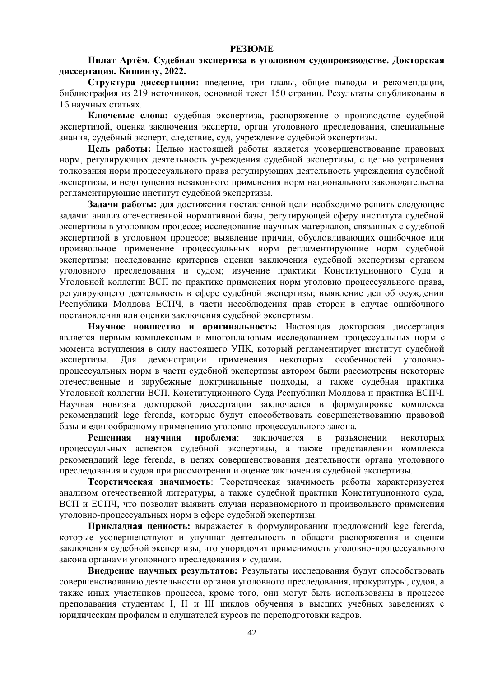#### **РЕЗЮМЕ**

**Пилат Артём. Судебная экспертиза в уголовном судопроизводстве. Докторская диссертация. Кишинэу, 2022.**

**Структура диссертации:** введение, три главы, общие выводы и рекомендации, библиография из 219 источников, основной текст 150 страниц. Результаты опубликованы в 16 научных статьях.

**Ключевые слова:** судебная экспертиза, распоряжение о производстве судебной экспертизой, оценка заключения эксперта, орган уголовного преследования, специальные знания, судебный эксперт, следствие, суд, учреждение судебной экспертизы.

**Цель работы:** Целью настоящей работы является усовершенствование правовых норм, регулирующих деятельность учреждения судебной экспертизы, с целью устранения толкования норм процессуального права регулирующих деятельность учреждения судебной экспертизы, и недопущения незаконного применения норм национального законодательства регламентирующие институт судебной экспертизы.

**Задачи работы:** для достижения поставленной цели необходимо решить следующие задачи: анализ отечественной нормативной базы, регулирующей сферу института судебной экспертизы в уголовном процессе; исследование научных материалов, связанных с судебной экспертизой в уголовном процессе; выявление причин, обусловливающих ошибочное или произвольное применение процессуальных норм регламентирующие норм судебной экспертизы; исследование критериев оценки заключения судебной экспертизы органом уголовного преследования и судом; изучение практики Конституционного Суда и Уголовной коллегии ВСП по практике применения норм уголовно процессуального права, регулирующего деятельность в сфере судебной экспертизы; выявление дел об осуждении Республики Молдова ЕСПЧ, в части несоблюдения прав сторон в случае ошибочного постановления или оценки заключения судебной экспертизы.

**Научное новшество и оригинальность:** Настоящая докторская диссертация является первым комплексным и многоплановым исследованием процессуальных норм с момента вступления в силу настоящего УПК, который регламентирует институт судебной экспертизы. Для демонстрации применения некоторых особенностей уголовнопроцессуальных норм в части судебной экспертизы автором были рассмотрены некоторые отечественные и зарубежные доктринальные подходы, а также судебная практика Уголовной коллегии ВСП, Конституционного Суда Республики Молдова и практика ЕСПЧ. Научная новизна докторской диссертации заключается в формулировке комплекса рекомендаций lege ferenda, которые будут способствовать совершенствованию правовой базы и единообразному применению уголовно-процессуального закона.

**Решенная научная проблема**: заключается в разъяснении некоторых процессуальных аспектов судебной экспертизы, а также представлении комплекса рекомендаций lege ferenda, в целях совершенствования деятельности органа уголовного преследования и судов при рассмотрении и оценке заключения судебной экспертизы.

**Теоретическая значимость**: Теоретическая значимость работы характеризуется анализом отечественной литературы, а также судебной практики Конституционного суда, ВСП и ЕСПЧ, что позволит выявить случаи неравномерного и произвольного применения уголовно-процессуальных норм в сфере судебной экспертизы.

**Прикладная ценность:** выражается в формулировании предложений lege ferenda, которые усовершенствуют и улучшат деятельность в области распоряжения и оценки заключения судебной экспертизы, что упорядочит применимость уголовно-процессуального закона органами уголовного преследования и судами.

**Внедрение научных результатов:** Результаты исследования будут способствовать совершенствованию деятельности органов уголовного преследования, прокуратуры, судов, а также иных участников процесса, кроме того, они могут быть использованы в процессе преподавания студентам I, II и III циклов обучения в высших учебных заведениях с юридическим профилем и слушателей курсов по переподготовки кадров.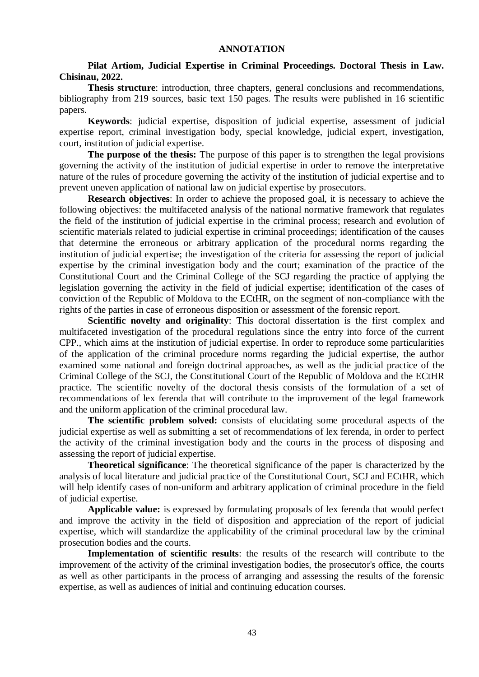#### **ANNOTATION**

## **Pilat Artiom, Judicial Expertise in Criminal Proceedings. Doctoral Thesis in Law. Chisinau, 2022.**

**Thesis structure**: introduction, three chapters, general conclusions and recommendations, bibliography from 219 sources, basic text 150 pages. The results were published in 16 scientific papers.

**Keywords**: judicial expertise, disposition of judicial expertise, assessment of judicial expertise report, criminal investigation body, special knowledge, judicial expert, investigation, court, institution of judicial expertise.

**The purpose of the thesis:** The purpose of this paper is to strengthen the legal provisions governing the activity of the institution of judicial expertise in order to remove the interpretative nature of the rules of procedure governing the activity of the institution of judicial expertise and to prevent uneven application of national law on judicial expertise by prosecutors.

**Research objectives**: In order to achieve the proposed goal, it is necessary to achieve the following objectives: the multifaceted analysis of the national normative framework that regulates the field of the institution of judicial expertise in the criminal process; research and evolution of scientific materials related to judicial expertise in criminal proceedings; identification of the causes that determine the erroneous or arbitrary application of the procedural norms regarding the institution of judicial expertise; the investigation of the criteria for assessing the report of judicial expertise by the criminal investigation body and the court; examination of the practice of the Constitutional Court and the Criminal College of the SCJ regarding the practice of applying the legislation governing the activity in the field of judicial expertise; identification of the cases of conviction of the Republic of Moldova to the ECtHR, on the segment of non-compliance with the rights of the parties in case of erroneous disposition or assessment of the forensic report.

**Scientific novelty and originality**: This doctoral dissertation is the first complex and multifaceted investigation of the procedural regulations since the entry into force of the current CPP., which aims at the institution of judicial expertise. In order to reproduce some particularities of the application of the criminal procedure norms regarding the judicial expertise, the author examined some national and foreign doctrinal approaches, as well as the judicial practice of the Criminal College of the SCJ, the Constitutional Court of the Republic of Moldova and the ECtHR practice. The scientific novelty of the doctoral thesis consists of the formulation of a set of recommendations of lex ferenda that will contribute to the improvement of the legal framework and the uniform application of the criminal procedural law.

**The scientific problem solved:** consists of elucidating some procedural aspects of the judicial expertise as well as submitting a set of recommendations of lex ferenda, in order to perfect the activity of the criminal investigation body and the courts in the process of disposing and assessing the report of judicial expertise.

**Theoretical significance**: The theoretical significance of the paper is characterized by the analysis of local literature and judicial practice of the Constitutional Court, SCJ and ECtHR, which will help identify cases of non-uniform and arbitrary application of criminal procedure in the field of judicial expertise.

**Applicable value:** is expressed by formulating proposals of lex ferenda that would perfect and improve the activity in the field of disposition and appreciation of the report of judicial expertise, which will standardize the applicability of the criminal procedural law by the criminal prosecution bodies and the courts.

**Implementation of scientific results**: the results of the research will contribute to the improvement of the activity of the criminal investigation bodies, the prosecutor's office, the courts as well as other participants in the process of arranging and assessing the results of the forensic expertise, as well as audiences of initial and continuing education courses.